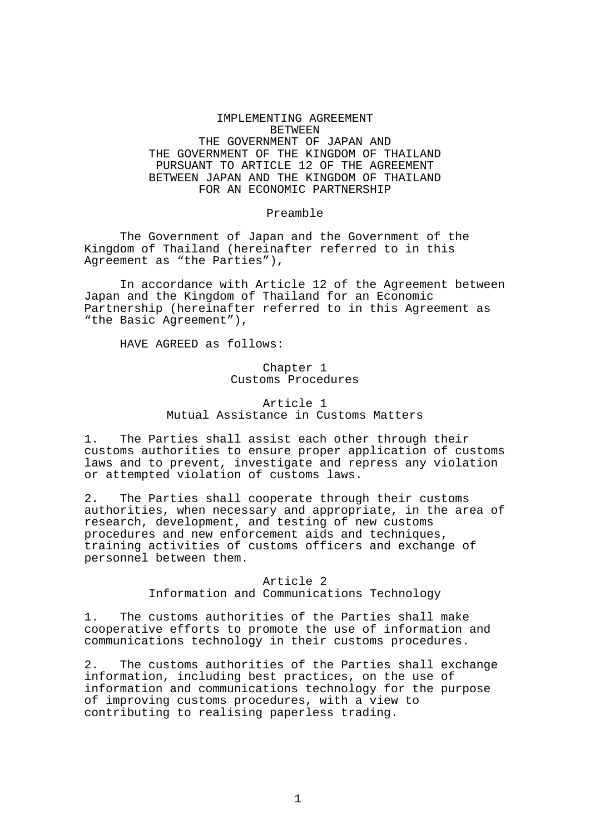## IMPLEMENTING AGREEMENT BETWEEN THE GOVERNMENT OF JAPAN AND THE GOVERNMENT OF THE KINGDOM OF THAILAND PURSUANT TO ARTICLE 12 OF THE AGREEMENT BETWEEN JAPAN AND THE KINGDOM OF THAILAND FOR AN ECONOMIC PARTNERSHIP

#### Preamble

 The Government of Japan and the Government of the Kingdom of Thailand (hereinafter referred to in this Agreement as "the Parties"),

 In accordance with Article 12 of the Agreement between Japan and the Kingdom of Thailand for an Economic Partnership (hereinafter referred to in this Agreement as "the Basic Agreement"),

HAVE AGREED as follows:

## Chapter 1 Customs Procedures

# Article 1 Mutual Assistance in Customs Matters

1. The Parties shall assist each other through their customs authorities to ensure proper application of customs laws and to prevent, investigate and repress any violation or attempted violation of customs laws.

2. The Parties shall cooperate through their customs authorities, when necessary and appropriate, in the area of research, development, and testing of new customs procedures and new enforcement aids and techniques, training activities of customs officers and exchange of personnel between them.

## Article 2 Information and Communications Technology

1. The customs authorities of the Parties shall make cooperative efforts to promote the use of information and communications technology in their customs procedures.

2. The customs authorities of the Parties shall exchange information, including best practices, on the use of information and communications technology for the purpose of improving customs procedures, with a view to contributing to realising paperless trading.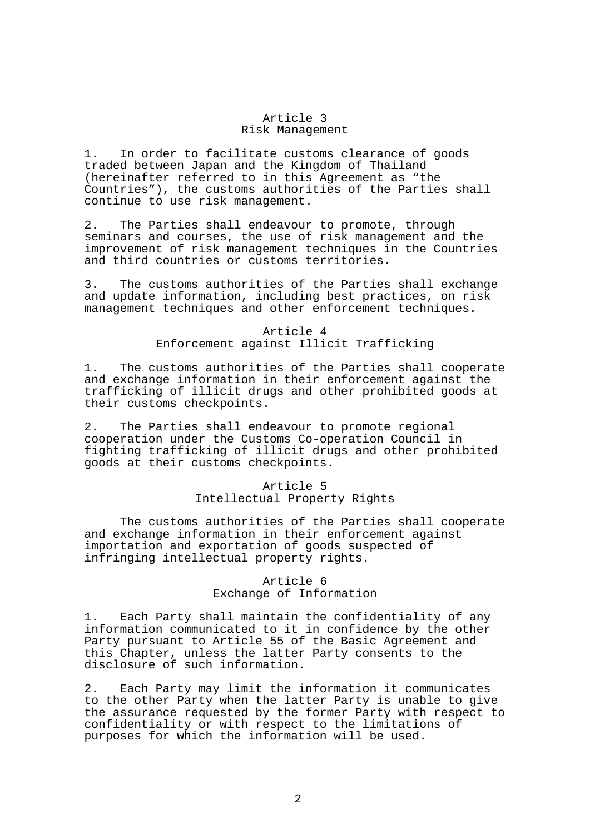#### Article 3 Risk Management

1. In order to facilitate customs clearance of goods traded between Japan and the Kingdom of Thailand (hereinafter referred to in this Agreement as "the Countries"), the customs authorities of the Parties shall continue to use risk management.

2. The Parties shall endeavour to promote, through seminars and courses, the use of risk management and the improvement of risk management techniques in the Countries and third countries or customs territories.

3. The customs authorities of the Parties shall exchange and update information, including best practices, on risk management techniques and other enforcement techniques.

## Article 4 Enforcement against Illicit Trafficking

1. The customs authorities of the Parties shall cooperate and exchange information in their enforcement against the trafficking of illicit drugs and other prohibited goods at their customs checkpoints.

2. The Parties shall endeavour to promote regional cooperation under the Customs Co-operation Council in fighting trafficking of illicit drugs and other prohibited goods at their customs checkpoints.

## Article 5 Intellectual Property Rights

 The customs authorities of the Parties shall cooperate and exchange information in their enforcement against importation and exportation of goods suspected of infringing intellectual property rights.

# Article 6 Exchange of Information

1. Each Party shall maintain the confidentiality of any information communicated to it in confidence by the other Party pursuant to Article 55 of the Basic Agreement and this Chapter, unless the latter Party consents to the disclosure of such information.

2. Each Party may limit the information it communicates to the other Party when the latter Party is unable to give the assurance requested by the former Party with respect to confidentiality or with respect to the limitations of purposes for which the information will be used.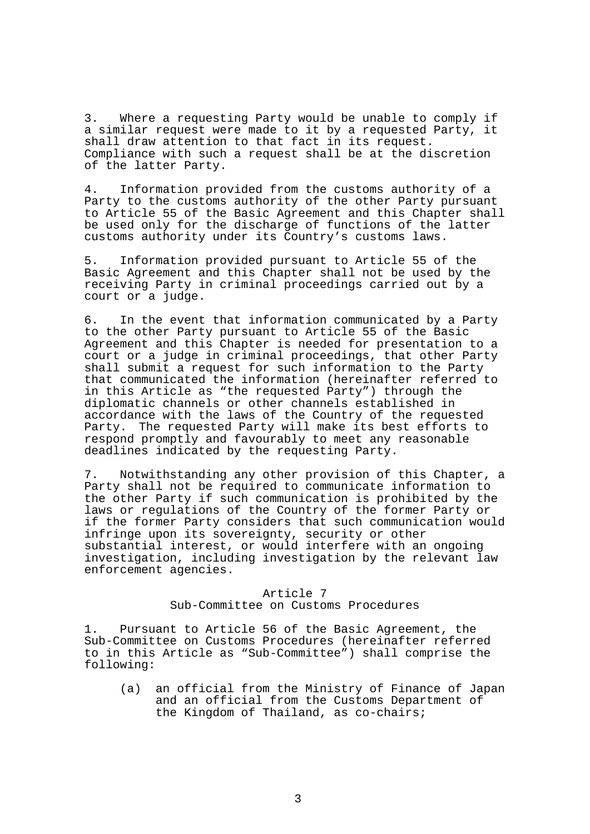3. Where a requesting Party would be unable to comply if a similar request were made to it by a requested Party, it shall draw attention to that fact in its request. Compliance with such a request shall be at the discretion of the latter Party.

4. Information provided from the customs authority of a Party to the customs authority of the other Party pursuant to Article 55 of the Basic Agreement and this Chapter shall be used only for the discharge of functions of the latter customs authority under its Country's customs laws.

5. Information provided pursuant to Article 55 of the Basic Agreement and this Chapter shall not be used by the receiving Party in criminal proceedings carried out by a court or a judge.

6. In the event that information communicated by a Party to the other Party pursuant to Article 55 of the Basic Agreement and this Chapter is needed for presentation to a court or a judge in criminal proceedings, that other Party shall submit a request for such information to the Party that communicated the information (hereinafter referred to in this Article as "the requested Party") through the diplomatic channels or other channels established in accordance with the laws of the Country of the requested Party. The requested Party will make its best efforts to respond promptly and favourably to meet any reasonable deadlines indicated by the requesting Party.

7. Notwithstanding any other provision of this Chapter, a Party shall not be required to communicate information to the other Party if such communication is prohibited by the laws or regulations of the Country of the former Party or if the former Party considers that such communication would infringe upon its sovereignty, security or other substantial interest, or would interfere with an ongoing investigation, including investigation by the relevant law enforcement agencies.

## Article 7 Sub-Committee on Customs Procedures

1. Pursuant to Article 56 of the Basic Agreement, the Sub-Committee on Customs Procedures (hereinafter referred to in this Article as "Sub-Committee") shall comprise the following:

 (a) an official from the Ministry of Finance of Japan and an official from the Customs Department of the Kingdom of Thailand, as co-chairs;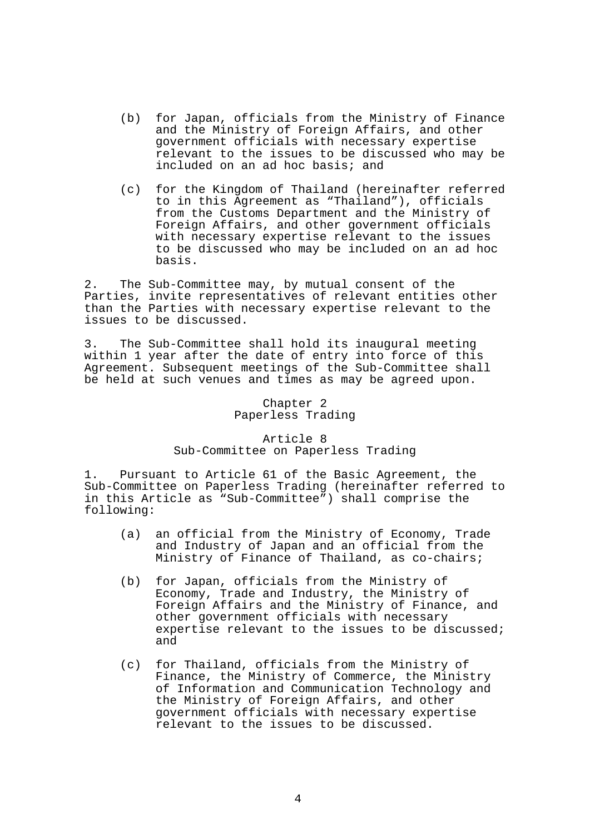- (b) for Japan, officials from the Ministry of Finance and the Ministry of Foreign Affairs, and other government officials with necessary expertise relevant to the issues to be discussed who may be included on an ad hoc basis; and
- (c) for the Kingdom of Thailand (hereinafter referred to in this Agreement as "Thailand"), officials from the Customs Department and the Ministry of Foreign Affairs, and other government officials with necessary expertise relevant to the issues to be discussed who may be included on an ad hoc basis.

2. The Sub-Committee may, by mutual consent of the Parties, invite representatives of relevant entities other than the Parties with necessary expertise relevant to the issues to be discussed.

3. The Sub-Committee shall hold its inaugural meeting within 1 year after the date of entry into force of this Agreement. Subsequent meetings of the Sub-Committee shall be held at such venues and times as may be agreed upon.

## Chapter 2 Paperless Trading

# Article 8 Sub-Committee on Paperless Trading

1. Pursuant to Article 61 of the Basic Agreement, the Sub-Committee on Paperless Trading (hereinafter referred to in this Article as "Sub-Committee") shall comprise the following:

- (a) an official from the Ministry of Economy, Trade and Industry of Japan and an official from the Ministry of Finance of Thailand, as co-chairs;
- (b) for Japan, officials from the Ministry of Economy, Trade and Industry, the Ministry of Foreign Affairs and the Ministry of Finance, and other government officials with necessary expertise relevant to the issues to be discussed; and
- (c) for Thailand, officials from the Ministry of Finance, the Ministry of Commerce, the Ministry of Information and Communication Technology and the Ministry of Foreign Affairs, and other government officials with necessary expertise relevant to the issues to be discussed.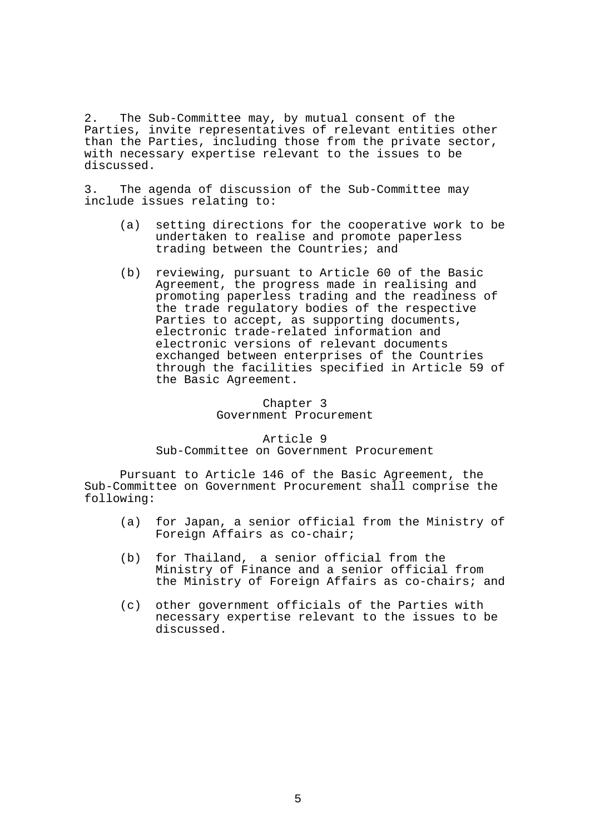2. The Sub-Committee may, by mutual consent of the Parties, invite representatives of relevant entities other than the Parties, including those from the private sector, with necessary expertise relevant to the issues to be discussed.

3. The agenda of discussion of the Sub-Committee may include issues relating to:

- (a) setting directions for the cooperative work to be undertaken to realise and promote paperless trading between the Countries; and
- (b) reviewing, pursuant to Article 60 of the Basic Agreement, the progress made in realising and promoting paperless trading and the readiness of the trade regulatory bodies of the respective Parties to accept, as supporting documents, electronic trade-related information and electronic versions of relevant documents exchanged between enterprises of the Countries through the facilities specified in Article 59 of the Basic Agreement.

Chapter 3 Government Procurement

Article 9 Sub-Committee on Government Procurement

 Pursuant to Article 146 of the Basic Agreement, the Sub-Committee on Government Procurement shall comprise the following:

- (a) for Japan, a senior official from the Ministry of Foreign Affairs as co-chair;
- (b) for Thailand, a senior official from the Ministry of Finance and a senior official from the Ministry of Foreign Affairs as co-chairs; and
- (c) other government officials of the Parties with necessary expertise relevant to the issues to be discussed.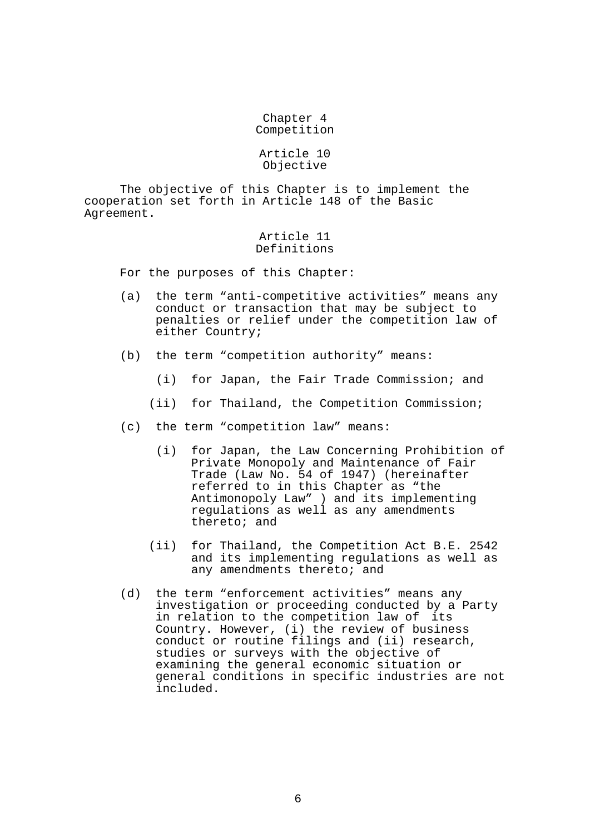### Chapter 4 Competition

#### Article 10 Objective

 The objective of this Chapter is to implement the cooperation set forth in Article 148 of the Basic Agreement.

### Article 11 Definitions

For the purposes of this Chapter:

- (a) the term "anti-competitive activities" means any conduct or transaction that may be subject to penalties or relief under the competition law of either Country;
- (b) the term "competition authority" means:
	- (i) for Japan, the Fair Trade Commission; and
	- (ii) for Thailand, the Competition Commission;
- (c) the term "competition law" means:
	- (i) for Japan, the Law Concerning Prohibition of Private Monopoly and Maintenance of Fair Trade (Law No. 54 of 1947) (hereinafter referred to in this Chapter as "the Antimonopoly Law" ) and its implementing regulations as well as any amendments thereto; and
	- (ii) for Thailand, the Competition Act B.E. 2542 and its implementing regulations as well as any amendments thereto; and
- (d) the term "enforcement activities" means any investigation or proceeding conducted by a Party in relation to the competition law of its Country. However, (i) the review of business conduct or routine filings and (ii) research, studies or surveys with the objective of examining the general economic situation or general conditions in specific industries are not included.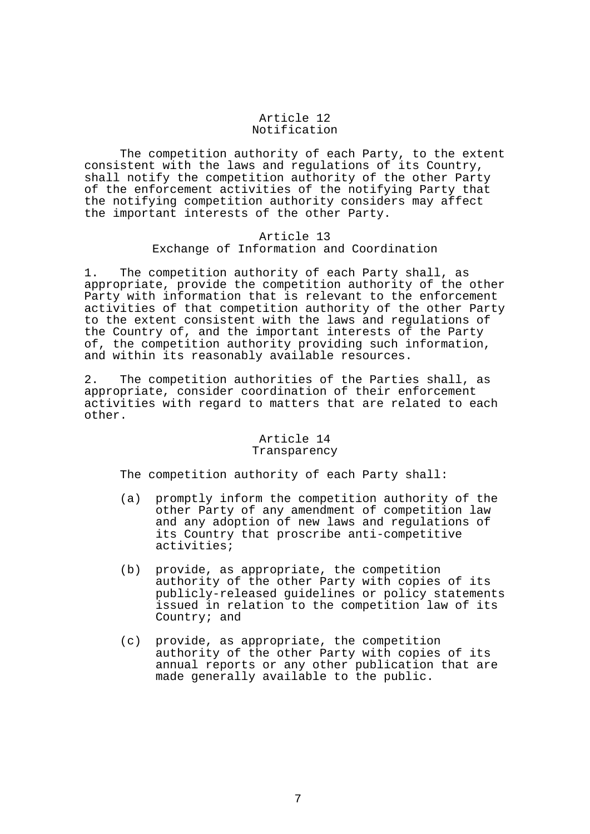### Article 12 Notification

 The competition authority of each Party, to the extent consistent with the laws and regulations of its Country, shall notify the competition authority of the other Party of the enforcement activities of the notifying Party that the notifying competition authority considers may affect the important interests of the other Party.

## Article 13

# Exchange of Information and Coordination

1. The competition authority of each Party shall, as appropriate, provide the competition authority of the other Party with information that is relevant to the enforcement activities of that competition authority of the other Party to the extent consistent with the laws and regulations of the Country of, and the important interests of the Party of, the competition authority providing such information, and within its reasonably available resources.

2. The competition authorities of the Parties shall, as appropriate, consider coordination of their enforcement activities with regard to matters that are related to each other.

## Article 14 Transparency

The competition authority of each Party shall:

- (a) promptly inform the competition authority of the other Party of any amendment of competition law and any adoption of new laws and regulations of its Country that proscribe anti-competitive activities;
- (b) provide, as appropriate, the competition authority of the other Party with copies of its publicly-released guidelines or policy statements issued in relation to the competition law of its Country; and
- (c) provide, as appropriate, the competition authority of the other Party with copies of its annual reports or any other publication that are made generally available to the public.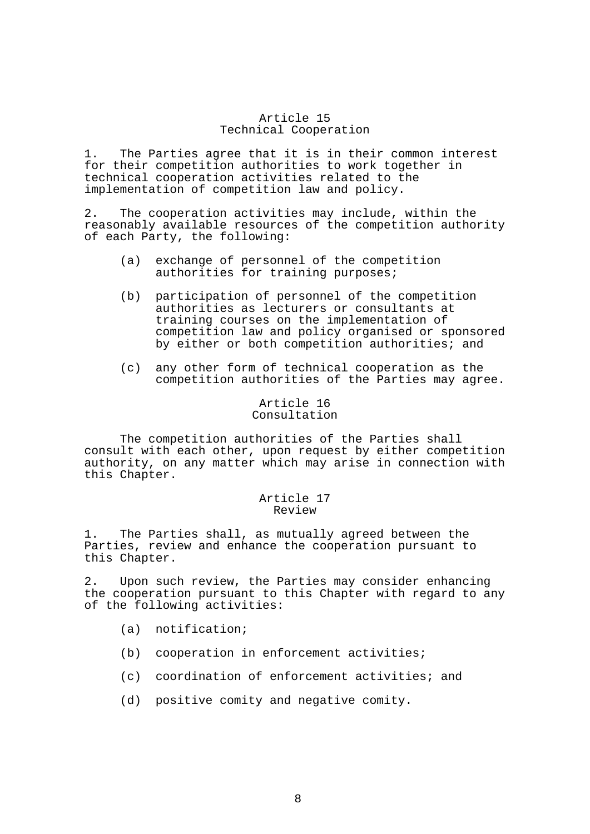### Article 15 Technical Cooperation

1. The Parties agree that it is in their common interest for their competition authorities to work together in technical cooperation activities related to the implementation of competition law and policy.

2. The cooperation activities may include, within the reasonably available resources of the competition authority of each Party, the following:

- (a) exchange of personnel of the competition authorities for training purposes;
- (b) participation of personnel of the competition authorities as lecturers or consultants at training courses on the implementation of competition law and policy organised or sponsored by either or both competition authorities; and
- (c) any other form of technical cooperation as the competition authorities of the Parties may agree.

#### Article 16 Consultation

 The competition authorities of the Parties shall consult with each other, upon request by either competition authority, on any matter which may arise in connection with this Chapter.

### Article 17 Review

1. The Parties shall, as mutually agreed between the Parties, review and enhance the cooperation pursuant to this Chapter.

2. Upon such review, the Parties may consider enhancing the cooperation pursuant to this Chapter with regard to any of the following activities:

- (a) notification;
- (b) cooperation in enforcement activities;
- (c) coordination of enforcement activities; and
- (d) positive comity and negative comity.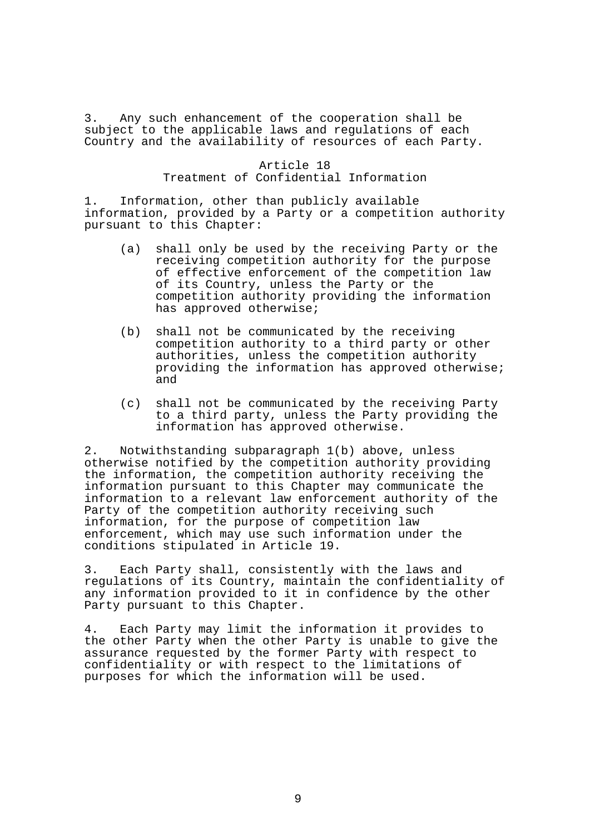3. Any such enhancement of the cooperation shall be subject to the applicable laws and regulations of each Country and the availability of resources of each Party.

## Article 18 Treatment of Confidential Information

1. Information, other than publicly available information, provided by a Party or a competition authority pursuant to this Chapter:

- (a) shall only be used by the receiving Party or the receiving competition authority for the purpose of effective enforcement of the competition law of its Country, unless the Party or the competition authority providing the information has approved otherwise;
- (b) shall not be communicated by the receiving competition authority to a third party or other authorities, unless the competition authority providing the information has approved otherwise; and
- (c) shall not be communicated by the receiving Party to a third party, unless the Party providing the information has approved otherwise.

2. Notwithstanding subparagraph 1(b) above, unless otherwise notified by the competition authority providing the information, the competition authority receiving the information pursuant to this Chapter may communicate the information to a relevant law enforcement authority of the Party of the competition authority receiving such information, for the purpose of competition law enforcement, which may use such information under the conditions stipulated in Article 19.

3. Each Party shall, consistently with the laws and regulations of its Country, maintain the confidentiality of any information provided to it in confidence by the other Party pursuant to this Chapter.

4. Each Party may limit the information it provides to the other Party when the other Party is unable to give the assurance requested by the former Party with respect to confidentiality or with respect to the limitations of purposes for which the information will be used.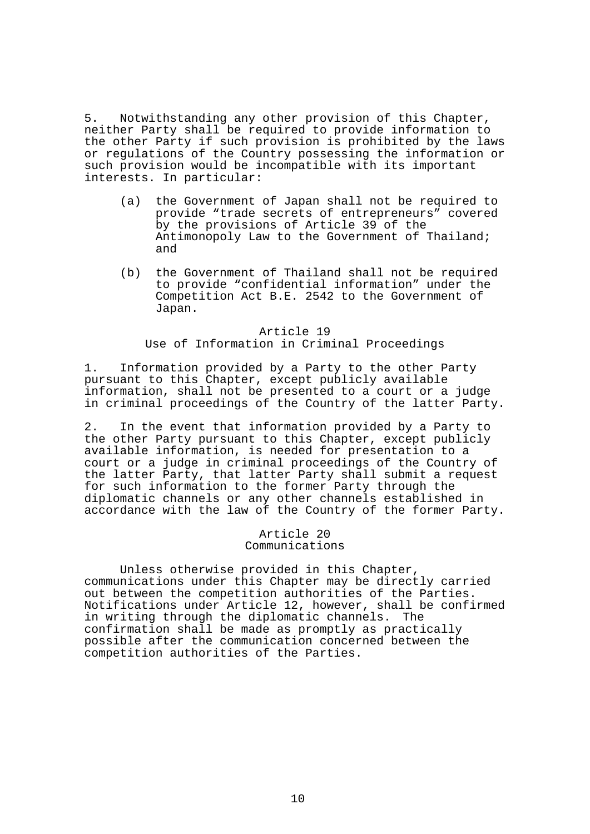5. Notwithstanding any other provision of this Chapter, neither Party shall be required to provide information to the other Party if such provision is prohibited by the laws or regulations of the Country possessing the information or such provision would be incompatible with its important interests. In particular:

- (a) the Government of Japan shall not be required to provide "trade secrets of entrepreneurs" covered by the provisions of Article 39 of the Antimonopoly Law to the Government of Thailand; and
- (b) the Government of Thailand shall not be required to provide "confidential information" under the Competition Act B.E. 2542 to the Government of Japan.

#### Article 19

Use of Information in Criminal Proceedings

1. Information provided by a Party to the other Party pursuant to this Chapter, except publicly available information, shall not be presented to a court or a judge in criminal proceedings of the Country of the latter Party.

2. In the event that information provided by a Party to the other Party pursuant to this Chapter, except publicly available information, is needed for presentation to a court or a judge in criminal proceedings of the Country of the latter Party, that latter Party shall submit a request for such information to the former Party through the diplomatic channels or any other channels established in accordance with the law of the Country of the former Party.

> Article 20 Communications

 Unless otherwise provided in this Chapter, communications under this Chapter may be directly carried out between the competition authorities of the Parties. Notifications under Article 12, however, shall be confirmed in writing through the diplomatic channels. The confirmation shall be made as promptly as practically possible after the communication concerned between the competition authorities of the Parties.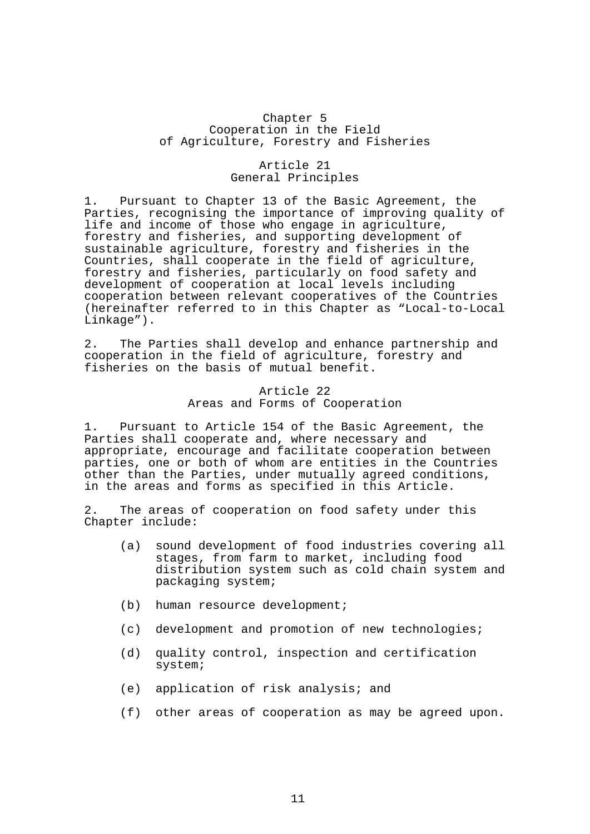## Chapter 5 Cooperation in the Field of Agriculture, Forestry and Fisheries

#### Article 21 General Principles

1. Pursuant to Chapter 13 of the Basic Agreement, the Parties, recognising the importance of improving quality of life and income of those who engage in agriculture, forestry and fisheries, and supporting development of sustainable agriculture, forestry and fisheries in the Countries, shall cooperate in the field of agriculture, forestry and fisheries, particularly on food safety and development of cooperation at local levels including cooperation between relevant cooperatives of the Countries (hereinafter referred to in this Chapter as "Local-to-Local Linkage").

2. The Parties shall develop and enhance partnership and cooperation in the field of agriculture, forestry and fisheries on the basis of mutual benefit.

## Article 22 Areas and Forms of Cooperation

1. Pursuant to Article 154 of the Basic Agreement, the Parties shall cooperate and, where necessary and appropriate, encourage and facilitate cooperation between parties, one or both of whom are entities in the Countries other than the Parties, under mutually agreed conditions, in the areas and forms as specified in this Article.

2. The areas of cooperation on food safety under this Chapter include:

- (a) sound development of food industries covering all stages, from farm to market, including food distribution system such as cold chain system and packaging system;
- (b) human resource development;
- (c) development and promotion of new technologies;
- (d) quality control, inspection and certification system;
- (e) application of risk analysis; and
- (f) other areas of cooperation as may be agreed upon.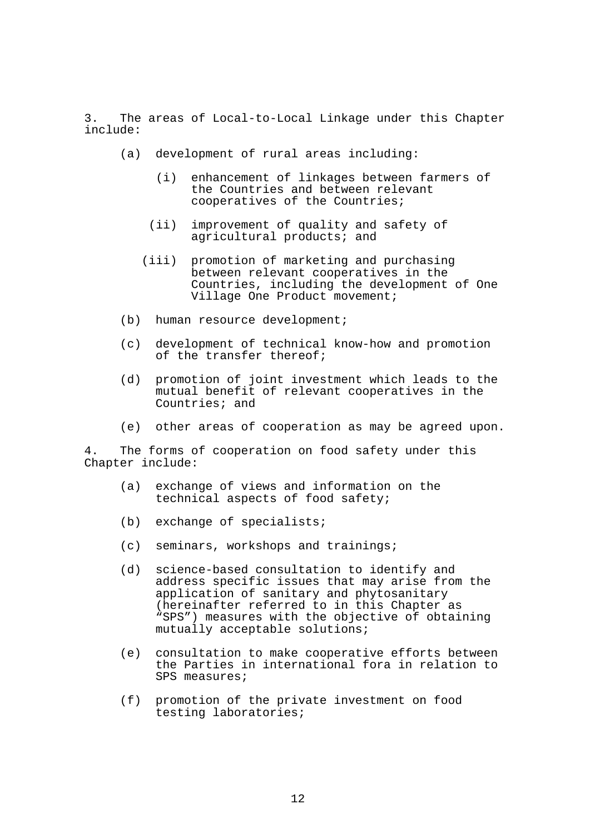3. The areas of Local-to-Local Linkage under this Chapter include:

- (a) development of rural areas including:
	- (i) enhancement of linkages between farmers of the Countries and between relevant cooperatives of the Countries;
	- (ii) improvement of quality and safety of agricultural products; and
	- (iii) promotion of marketing and purchasing between relevant cooperatives in the Countries, including the development of One Village One Product movement;
- (b) human resource development;
- (c) development of technical know-how and promotion of the transfer thereof;
- (d) promotion of joint investment which leads to the mutual benefit of relevant cooperatives in the Countries; and
- (e) other areas of cooperation as may be agreed upon.

4. The forms of cooperation on food safety under this Chapter include:

- (a) exchange of views and information on the technical aspects of food safety;
- (b) exchange of specialists;
- (c) seminars, workshops and trainings;
- (d) science-based consultation to identify and address specific issues that may arise from the application of sanitary and phytosanitary (hereinafter referred to in this Chapter as "SPS") measures with the objective of obtaining mutually acceptable solutions;
- (e) consultation to make cooperative efforts between the Parties in international fora in relation to SPS measures;
- (f) promotion of the private investment on food testing laboratories;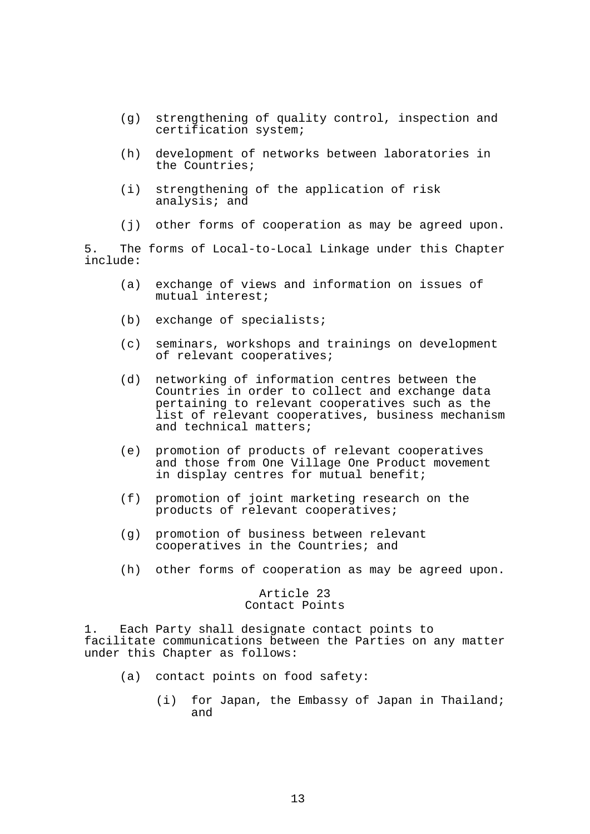- (g) strengthening of quality control, inspection and certification system;
- (h) development of networks between laboratories in the Countries;
- (i) strengthening of the application of risk analysis; and
- (j) other forms of cooperation as may be agreed upon.

5. The forms of Local-to-Local Linkage under this Chapter include:

- (a) exchange of views and information on issues of mutual interest;
- (b) exchange of specialists;
- (c) seminars, workshops and trainings on development of relevant cooperatives;
- (d) networking of information centres between the Countries in order to collect and exchange data pertaining to relevant cooperatives such as the list of relevant cooperatives, business mechanism and technical matters;
- (e) promotion of products of relevant cooperatives and those from One Village One Product movement in display centres for mutual benefit;
- (f) promotion of joint marketing research on the products of relevant cooperatives;
- (g) promotion of business between relevant cooperatives in the Countries; and
- (h) other forms of cooperation as may be agreed upon.

# Article 23 Contact Points

1. Each Party shall designate contact points to facilitate communications between the Parties on any matter under this Chapter as follows:

- (a) contact points on food safety:
	- (i) for Japan, the Embassy of Japan in Thailand; and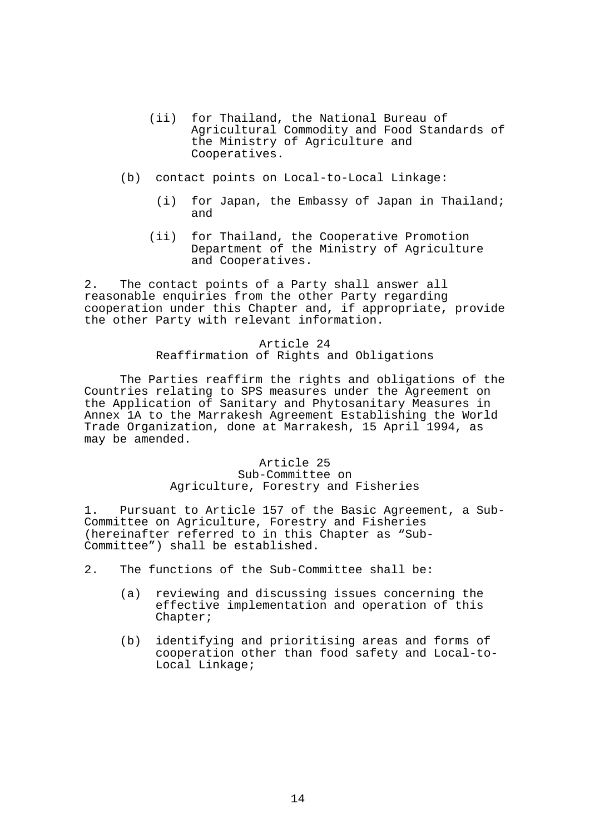- (ii) for Thailand, the National Bureau of Agricultural Commodity and Food Standards of the Ministry of Agriculture and Cooperatives.
- (b) contact points on Local-to-Local Linkage:
	- (i) for Japan, the Embassy of Japan in Thailand; and
	- (ii) for Thailand, the Cooperative Promotion Department of the Ministry of Agriculture and Cooperatives.

2. The contact points of a Party shall answer all reasonable enquiries from the other Party regarding cooperation under this Chapter and, if appropriate, provide the other Party with relevant information.

## Article 24 Reaffirmation of Rights and Obligations

 The Parties reaffirm the rights and obligations of the Countries relating to SPS measures under the Agreement on the Application of Sanitary and Phytosanitary Measures in Annex 1A to the Marrakesh Agreement Establishing the World Trade Organization, done at Marrakesh, 15 April 1994, as may be amended.

# Article 25 Sub-Committee on Agriculture, Forestry and Fisheries

1. Pursuant to Article 157 of the Basic Agreement, a Sub-Committee on Agriculture, Forestry and Fisheries (hereinafter referred to in this Chapter as "Sub-Committee") shall be established.

- 2. The functions of the Sub-Committee shall be:
	- (a) reviewing and discussing issues concerning the effective implementation and operation of this Chapter;
	- (b) identifying and prioritising areas and forms of cooperation other than food safety and Local-to-Local Linkage;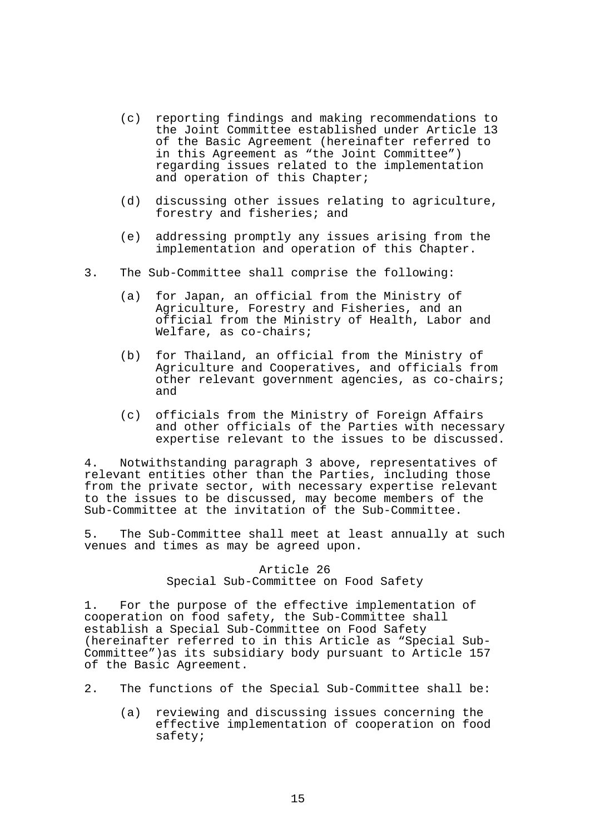- (c) reporting findings and making recommendations to the Joint Committee established under Article 13 of the Basic Agreement (hereinafter referred to in this Agreement as "the Joint Committee") regarding issues related to the implementation and operation of this Chapter;
- (d) discussing other issues relating to agriculture, forestry and fisheries; and
- (e) addressing promptly any issues arising from the implementation and operation of this Chapter.
- 3. The Sub-Committee shall comprise the following:
	- (a) for Japan, an official from the Ministry of Agriculture, Forestry and Fisheries, and an official from the Ministry of Health, Labor and Welfare, as co-chairs;
	- (b) for Thailand, an official from the Ministry of Agriculture and Cooperatives, and officials from other relevant government agencies, as co-chairs; and
	- (c) officials from the Ministry of Foreign Affairs and other officials of the Parties with necessary expertise relevant to the issues to be discussed.

4. Notwithstanding paragraph 3 above, representatives of relevant entities other than the Parties, including those from the private sector, with necessary expertise relevant to the issues to be discussed, may become members of the Sub-Committee at the invitation of the Sub-Committee.

5. The Sub-Committee shall meet at least annually at such venues and times as may be agreed upon.

## Article 26 Special Sub-Committee on Food Safety

1. For the purpose of the effective implementation of cooperation on food safety, the Sub-Committee shall establish a Special Sub-Committee on Food Safety (hereinafter referred to in this Article as "Special Sub-Committee")as its subsidiary body pursuant to Article 157 of the Basic Agreement.

- 2. The functions of the Special Sub-Committee shall be:
	- (a) reviewing and discussing issues concerning the effective implementation of cooperation on food safety;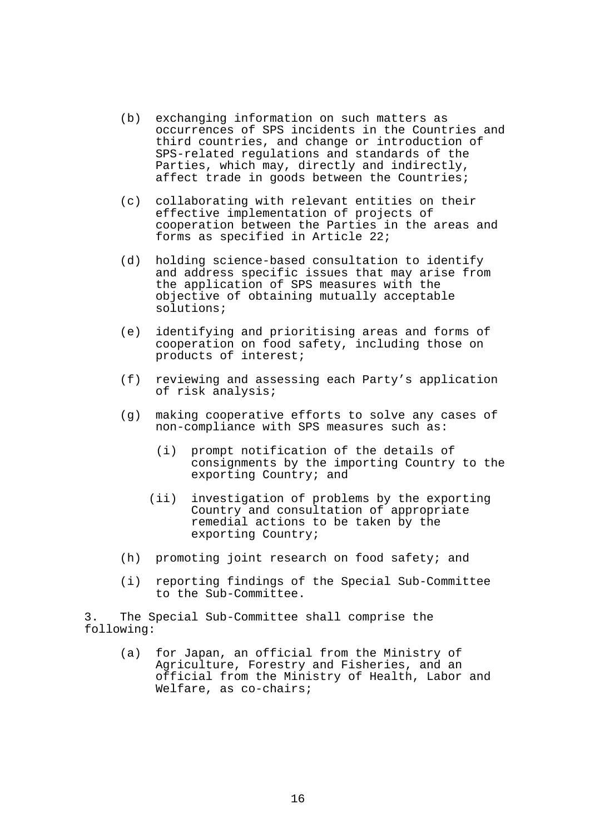- (b) exchanging information on such matters as occurrences of SPS incidents in the Countries and third countries, and change or introduction of SPS-related regulations and standards of the Parties, which may, directly and indirectly, affect trade in goods between the Countries;
- (c) collaborating with relevant entities on their effective implementation of projects of cooperation between the Parties in the areas and forms as specified in Article 22;
- (d) holding science-based consultation to identify and address specific issues that may arise from the application of SPS measures with the objective of obtaining mutually acceptable solutions;
- (e) identifying and prioritising areas and forms of cooperation on food safety, including those on products of interest;
- (f) reviewing and assessing each Party's application of risk analysis;
- (g) making cooperative efforts to solve any cases of non-compliance with SPS measures such as:
	- (i) prompt notification of the details of consignments by the importing Country to the exporting Country; and
	- (ii) investigation of problems by the exporting Country and consultation of appropriate remedial actions to be taken by the exporting Country;
- (h) promoting joint research on food safety; and
- (i) reporting findings of the Special Sub-Committee to the Sub-Committee.

3. The Special Sub-Committee shall comprise the following:

> (a) for Japan, an official from the Ministry of Agriculture, Forestry and Fisheries, and an official from the Ministry of Health, Labor and Welfare, as co-chairs;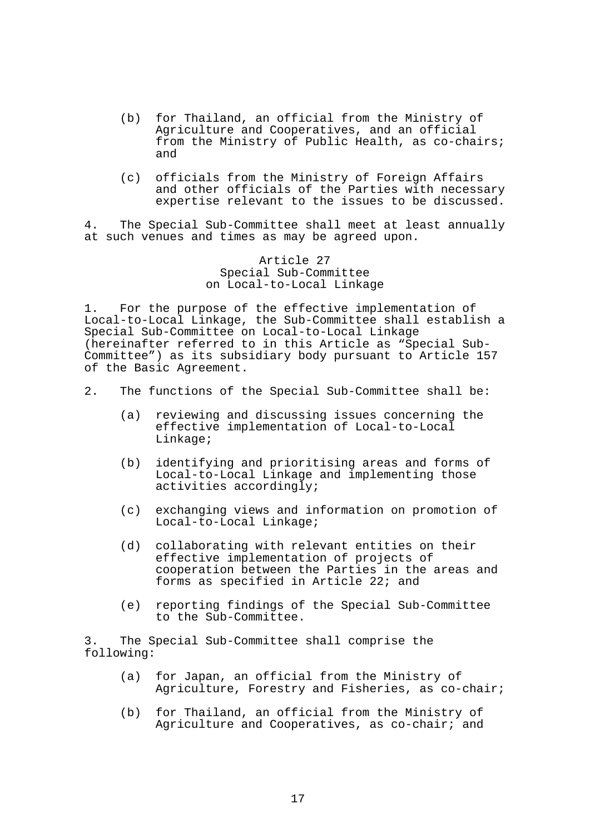- (b) for Thailand, an official from the Ministry of Agriculture and Cooperatives, and an official from the Ministry of Public Health, as co-chairs; and
- (c) officials from the Ministry of Foreign Affairs and other officials of the Parties with necessary expertise relevant to the issues to be discussed.

4. The Special Sub-Committee shall meet at least annually at such venues and times as may be agreed upon.

> Article 27 Special Sub-Committee on Local-to-Local Linkage

1. For the purpose of the effective implementation of Local-to-Local Linkage, the Sub-Committee shall establish a Special Sub-Committee on Local-to-Local Linkage (hereinafter referred to in this Article as "Special Sub-Committee") as its subsidiary body pursuant to Article 157 of the Basic Agreement.

- 2. The functions of the Special Sub-Committee shall be:
	- (a) reviewing and discussing issues concerning the effective implementation of Local-to-Local Linkage;
	- (b) identifying and prioritising areas and forms of Local-to-Local Linkage and implementing those activities accordingly;
	- (c) exchanging views and information on promotion of Local-to-Local Linkage;
	- (d) collaborating with relevant entities on their effective implementation of projects of cooperation between the Parties in the areas and forms as specified in Article 22; and
	- (e) reporting findings of the Special Sub-Committee to the Sub-Committee.

3. The Special Sub-Committee shall comprise the following:

- (a) for Japan, an official from the Ministry of Agriculture, Forestry and Fisheries, as co-chair;
- (b) for Thailand, an official from the Ministry of Agriculture and Cooperatives, as co-chair; and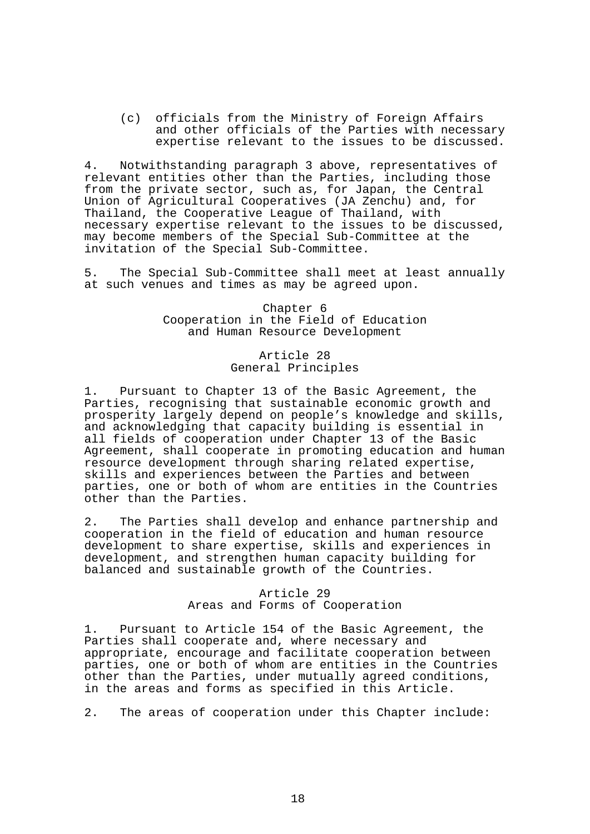(c) officials from the Ministry of Foreign Affairs and other officials of the Parties with necessary expertise relevant to the issues to be discussed.

4. Notwithstanding paragraph 3 above, representatives of relevant entities other than the Parties, including those from the private sector, such as, for Japan, the Central Union of Agricultural Cooperatives (JA Zenchu) and, for Thailand, the Cooperative League of Thailand, with necessary expertise relevant to the issues to be discussed, may become members of the Special Sub-Committee at the invitation of the Special Sub-Committee.

5. The Special Sub-Committee shall meet at least annually at such venues and times as may be agreed upon.

> Chapter 6 Cooperation in the Field of Education and Human Resource Development

## Article 28 General Principles

1. Pursuant to Chapter 13 of the Basic Agreement, the Parties, recognising that sustainable economic growth and prosperity largely depend on people's knowledge and skills, and acknowledging that capacity building is essential in all fields of cooperation under Chapter 13 of the Basic Agreement, shall cooperate in promoting education and human resource development through sharing related expertise, skills and experiences between the Parties and between parties, one or both of whom are entities in the Countries other than the Parties.

2. The Parties shall develop and enhance partnership and cooperation in the field of education and human resource development to share expertise, skills and experiences in development, and strengthen human capacity building for balanced and sustainable growth of the Countries.

### Article 29 Areas and Forms of Cooperation

1. Pursuant to Article 154 of the Basic Agreement, the Parties shall cooperate and, where necessary and appropriate, encourage and facilitate cooperation between parties, one or both of whom are entities in the Countries other than the Parties, under mutually agreed conditions, in the areas and forms as specified in this Article.

2. The areas of cooperation under this Chapter include: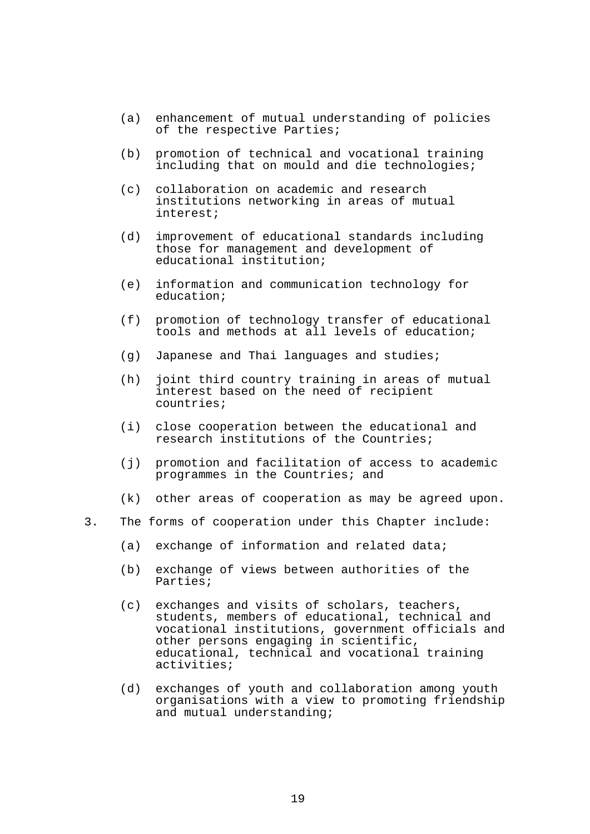- (a) enhancement of mutual understanding of policies of the respective Parties;
- (b) promotion of technical and vocational training including that on mould and die technologies;
- (c) collaboration on academic and research institutions networking in areas of mutual interest;
- (d) improvement of educational standards including those for management and development of educational institution;
- (e) information and communication technology for education;
- (f) promotion of technology transfer of educational tools and methods at all levels of education;
- (g) Japanese and Thai languages and studies;
- (h) joint third country training in areas of mutual interest based on the need of recipient countries;
- (i) close cooperation between the educational and research institutions of the Countries;
- (j) promotion and facilitation of access to academic programmes in the Countries; and
- (k) other areas of cooperation as may be agreed upon.
- 3. The forms of cooperation under this Chapter include:
	- (a) exchange of information and related data;
	- (b) exchange of views between authorities of the Parties;
- (c) exchanges and visits of scholars, teachers, students, members of educational, technical and vocational institutions, government officials and other persons engaging in scientific, educational, technical and vocational training activities;
	- (d) exchanges of youth and collaboration among youth organisations with a view to promoting friendship and mutual understanding;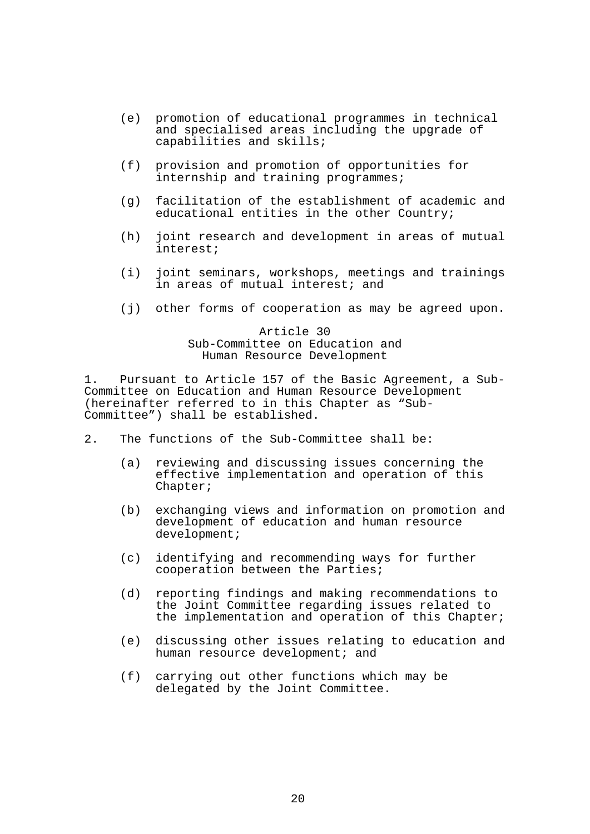- (e) promotion of educational programmes in technical and specialised areas including the upgrade of capabilities and skills;
- (f) provision and promotion of opportunities for internship and training programmes;
- (g) facilitation of the establishment of academic and educational entities in the other Country;
- (h) joint research and development in areas of mutual interest;
- (i) joint seminars, workshops, meetings and trainings in areas of mutual interest; and
- (j) other forms of cooperation as may be agreed upon.

Article 30 Sub-Committee on Education and Human Resource Development

1. Pursuant to Article 157 of the Basic Agreement, a Sub-Committee on Education and Human Resource Development (hereinafter referred to in this Chapter as "Sub-Committee") shall be established.

- 2. The functions of the Sub-Committee shall be:
	- (a) reviewing and discussing issues concerning the effective implementation and operation of this Chapter;
	- (b) exchanging views and information on promotion and development of education and human resource development;
	- (c) identifying and recommending ways for further cooperation between the Parties;
	- (d) reporting findings and making recommendations to the Joint Committee regarding issues related to the implementation and operation of this Chapter;
	- (e) discussing other issues relating to education and human resource development; and
	- (f) carrying out other functions which may be delegated by the Joint Committee.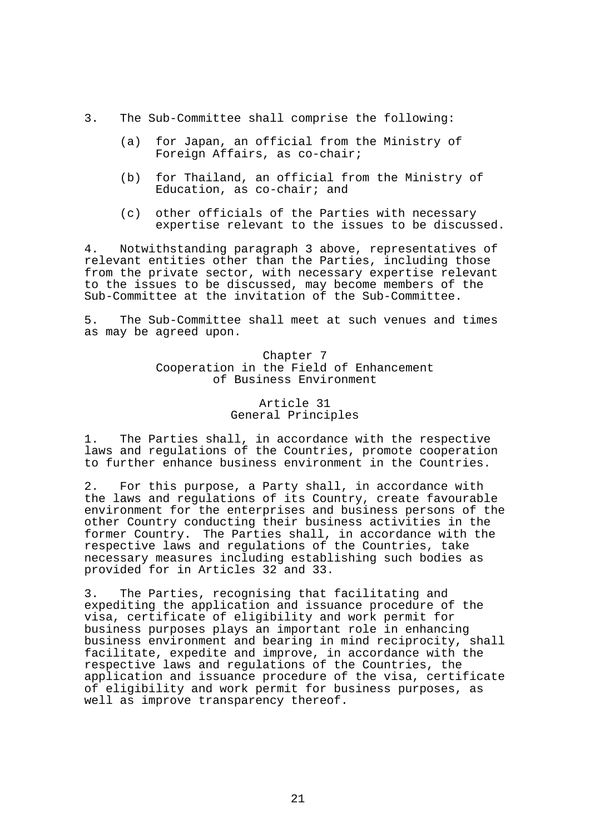- 3. The Sub-Committee shall comprise the following:
	- (a) for Japan, an official from the Ministry of Foreign Affairs, as co-chair;
	- (b) for Thailand, an official from the Ministry of Education, as co-chair; and
	- (c) other officials of the Parties with necessary expertise relevant to the issues to be discussed.

4. Notwithstanding paragraph 3 above, representatives of relevant entities other than the Parties, including those from the private sector, with necessary expertise relevant to the issues to be discussed, may become members of the Sub-Committee at the invitation of the Sub-Committee.

5. The Sub-Committee shall meet at such venues and times as may be agreed upon.

# Chapter 7 Cooperation in the Field of Enhancement of Business Environment

# Article 31 General Principles

1. The Parties shall, in accordance with the respective laws and regulations of the Countries, promote cooperation to further enhance business environment in the Countries.

2. For this purpose, a Party shall, in accordance with the laws and regulations of its Country, create favourable environment for the enterprises and business persons of the other Country conducting their business activities in the former Country. The Parties shall, in accordance with the respective laws and regulations of the Countries, take necessary measures including establishing such bodies as provided for in Articles 32 and 33.

3. The Parties, recognising that facilitating and expediting the application and issuance procedure of the visa, certificate of eligibility and work permit for business purposes plays an important role in enhancing business environment and bearing in mind reciprocity, shall facilitate, expedite and improve, in accordance with the respective laws and regulations of the Countries, the application and issuance procedure of the visa, certificate of eligibility and work permit for business purposes, as well as improve transparency thereof.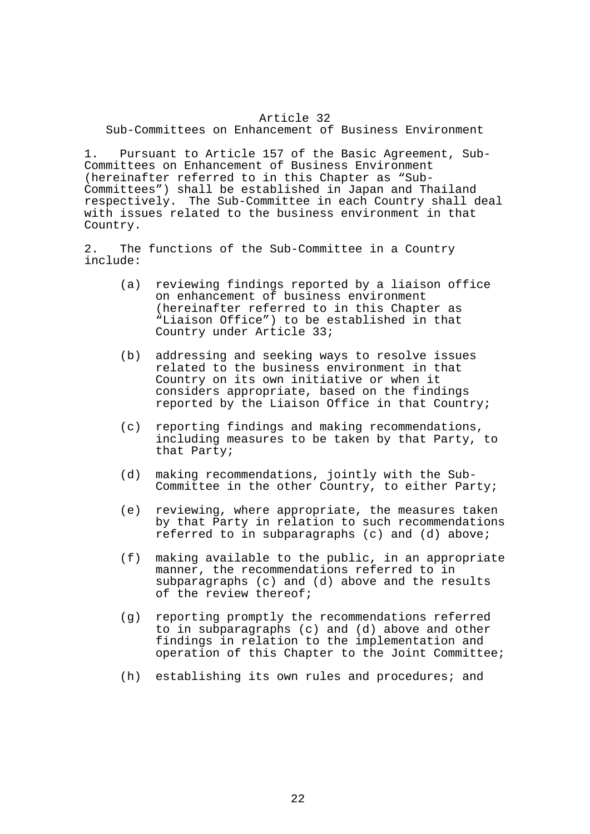# Article 32

Sub-Committees on Enhancement of Business Environment

1. Pursuant to Article 157 of the Basic Agreement, Sub-Committees on Enhancement of Business Environment (hereinafter referred to in this Chapter as "Sub-Committees") shall be established in Japan and Thailand respectively. The Sub-Committee in each Country shall deal with issues related to the business environment in that Country.

2. The functions of the Sub-Committee in a Country include:

- (a) reviewing findings reported by a liaison office on enhancement of business environment (hereinafter referred to in this Chapter as "Liaison Office") to be established in that Country under Article 33;
- (b) addressing and seeking ways to resolve issues related to the business environment in that Country on its own initiative or when it considers appropriate, based on the findings reported by the Liaison Office in that Country;
- (c) reporting findings and making recommendations, including measures to be taken by that Party, to that Party;
- (d) making recommendations, jointly with the Sub-Committee in the other Country, to either Party;
- (e) reviewing, where appropriate, the measures taken by that Party in relation to such recommendations referred to in subparagraphs (c) and (d) above;
- (f) making available to the public, in an appropriate manner, the recommendations referred to in subparagraphs (c) and (d) above and the results of the review thereof;
- (g) reporting promptly the recommendations referred to in subparagraphs (c) and (d) above and other findings in relation to the implementation and operation of this Chapter to the Joint Committee;
- (h) establishing its own rules and procedures; and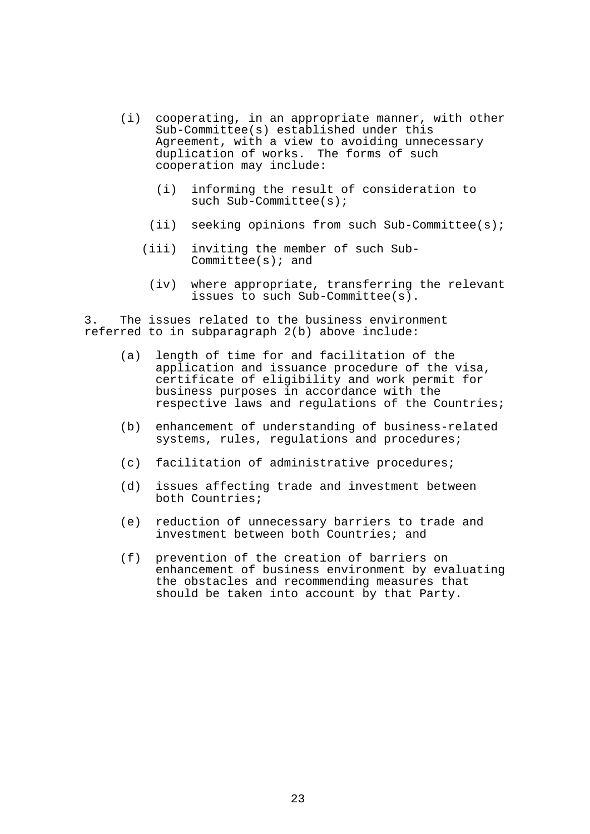- (i) cooperating, in an appropriate manner, with other Sub-Committee(s) established under this Agreement, with a view to avoiding unnecessary duplication of works. The forms of such cooperation may include:
	- (i) informing the result of consideration to such Sub-Committee(s);
	- (ii) seeking opinions from such Sub-Committee(s);
	- (iii) inviting the member of such Sub-Committee(s); and
		- (iv) where appropriate, transferring the relevant issues to such Sub-Committee(s).

3. The issues related to the business environment referred to in subparagraph 2(b) above include:

- (a) length of time for and facilitation of the application and issuance procedure of the visa, certificate of eligibility and work permit for business purposes in accordance with the respective laws and regulations of the Countries;
- (b) enhancement of understanding of business-related systems, rules, requlations and procedures;
- (c) facilitation of administrative procedures;
- (d) issues affecting trade and investment between both Countries;
- (e) reduction of unnecessary barriers to trade and investment between both Countries; and
- (f) prevention of the creation of barriers on enhancement of business environment by evaluating the obstacles and recommending measures that should be taken into account by that Party.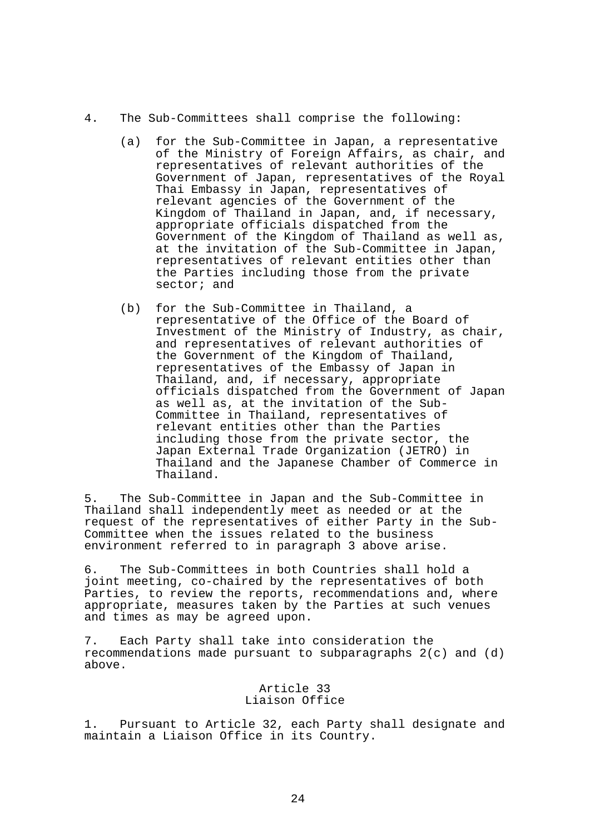- 4. The Sub-Committees shall comprise the following:
	- (a) for the Sub-Committee in Japan, a representative of the Ministry of Foreign Affairs, as chair, and representatives of relevant authorities of the Government of Japan, representatives of the Royal Thai Embassy in Japan, representatives of relevant agencies of the Government of the Kingdom of Thailand in Japan, and, if necessary, appropriate officials dispatched from the Government of the Kingdom of Thailand as well as, at the invitation of the Sub-Committee in Japan, representatives of relevant entities other than the Parties including those from the private sector; and
	- (b) for the Sub-Committee in Thailand, a representative of the Office of the Board of Investment of the Ministry of Industry, as chair, and representatives of relevant authorities of the Government of the Kingdom of Thailand, representatives of the Embassy of Japan in Thailand, and, if necessary, appropriate officials dispatched from the Government of Japan as well as, at the invitation of the Sub-Committee in Thailand, representatives of relevant entities other than the Parties including those from the private sector, the Japan External Trade Organization (JETRO) in Thailand and the Japanese Chamber of Commerce in Thailand.

5. The Sub-Committee in Japan and the Sub-Committee in Thailand shall independently meet as needed or at the request of the representatives of either Party in the Sub-Committee when the issues related to the business environment referred to in paragraph 3 above arise.

6. The Sub-Committees in both Countries shall hold a joint meeting, co-chaired by the representatives of both Parties, to review the reports, recommendations and, where appropriate, measures taken by the Parties at such venues and times as may be agreed upon.

7. Each Party shall take into consideration the recommendations made pursuant to subparagraphs  $2(c)$  and  $(d)$ above.

> Article 33 Liaison Office

1. Pursuant to Article 32, each Party shall designate and maintain a Liaison Office in its Country.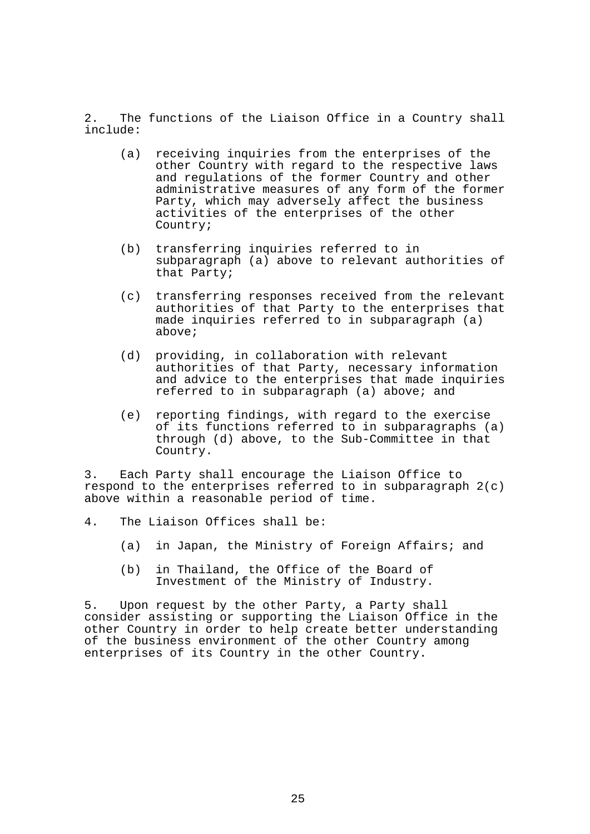2. The functions of the Liaison Office in a Country shall include:

- (a) receiving inquiries from the enterprises of the other Country with regard to the respective laws and regulations of the former Country and other administrative measures of any form of the former Party, which may adversely affect the business activities of the enterprises of the other Country;
- (b) transferring inquiries referred to in subparagraph (a) above to relevant authorities of that Party;
- (c) transferring responses received from the relevant authorities of that Party to the enterprises that made inquiries referred to in subparagraph (a) above;
- (d) providing, in collaboration with relevant authorities of that Party, necessary information and advice to the enterprises that made inquiries referred to in subparagraph (a) above; and
- (e) reporting findings, with regard to the exercise of its functions referred to in subparagraphs (a) through (d) above, to the Sub-Committee in that Country.

3. Each Party shall encourage the Liaison Office to respond to the enterprises referred to in subparagraph  $2(c)$ above within a reasonable period of time.

- 4. The Liaison Offices shall be:
	- (a) in Japan, the Ministry of Foreign Affairs; and
	- (b) in Thailand, the Office of the Board of Investment of the Ministry of Industry.

5. Upon request by the other Party, a Party shall consider assisting or supporting the Liaison Office in the other Country in order to help create better understanding of the business environment of the other Country among enterprises of its Country in the other Country.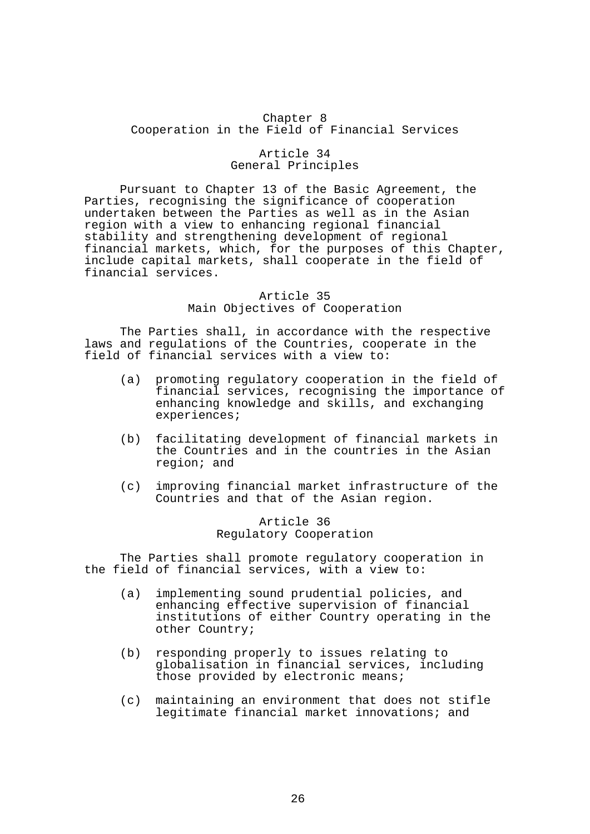# Chapter 8 Cooperation in the Field of Financial Services

#### Article 34 General Principles

 Pursuant to Chapter 13 of the Basic Agreement, the Parties, recognising the significance of cooperation undertaken between the Parties as well as in the Asian region with a view to enhancing regional financial stability and strengthening development of regional financial markets, which, for the purposes of this Chapter, include capital markets, shall cooperate in the field of financial services.

#### Article 35 Main Objectives of Cooperation

 The Parties shall, in accordance with the respective laws and regulations of the Countries, cooperate in the field of financial services with a view to:

- (a) promoting regulatory cooperation in the field of financial services, recognising the importance of enhancing knowledge and skills, and exchanging experiences;
- (b) facilitating development of financial markets in the Countries and in the countries in the Asian region; and
- (c) improving financial market infrastructure of the Countries and that of the Asian region.

## Article 36 Regulatory Cooperation

 The Parties shall promote regulatory cooperation in the field of financial services, with a view to:

- (a) implementing sound prudential policies, and enhancing effective supervision of financial institutions of either Country operating in the other Country;
- (b) responding properly to issues relating to globalisation in financial services, including those provided by electronic means;
- (c) maintaining an environment that does not stifle legitimate financial market innovations; and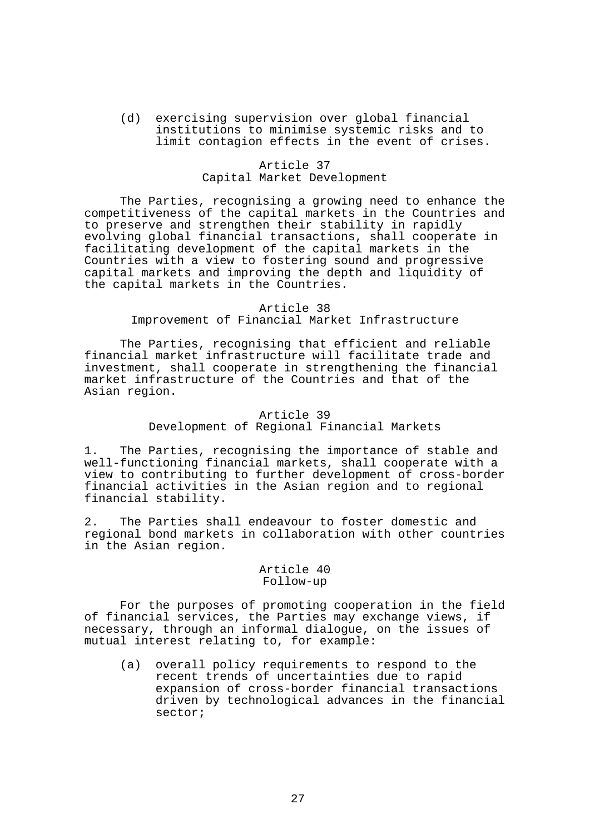(d) exercising supervision over global financial institutions to minimise systemic risks and to limit contagion effects in the event of crises.

## Article 37 Capital Market Development

 The Parties, recognising a growing need to enhance the competitiveness of the capital markets in the Countries and to preserve and strengthen their stability in rapidly evolving global financial transactions, shall cooperate in facilitating development of the capital markets in the Countries with a view to fostering sound and progressive capital markets and improving the depth and liquidity of the capital markets in the Countries.

#### Article 38

## Improvement of Financial Market Infrastructure

 The Parties, recognising that efficient and reliable financial market infrastructure will facilitate trade and investment, shall cooperate in strengthening the financial market infrastructure of the Countries and that of the Asian region.

#### Article 39

# Development of Regional Financial Markets

1. The Parties, recognising the importance of stable and well-functioning financial markets, shall cooperate with a view to contributing to further development of cross-border financial activities in the Asian region and to regional financial stability.

2. The Parties shall endeavour to foster domestic and regional bond markets in collaboration with other countries in the Asian region.

#### Article 40 Follow-up

 For the purposes of promoting cooperation in the field of financial services, the Parties may exchange views, if necessary, through an informal dialogue, on the issues of mutual interest relating to, for example:

 (a) overall policy requirements to respond to the recent trends of uncertainties due to rapid expansion of cross-border financial transactions driven by technological advances in the financial sector;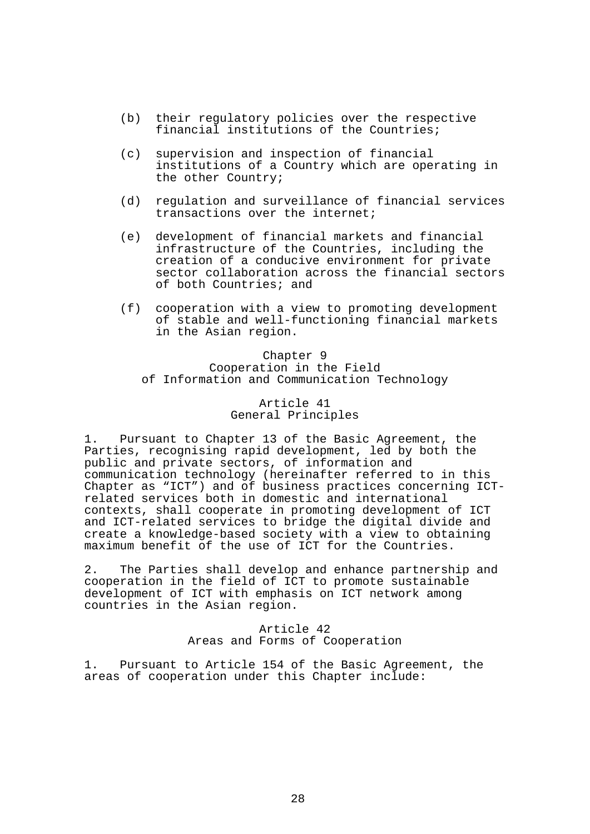- (b) their regulatory policies over the respective financial institutions of the Countries;
- (c) supervision and inspection of financial institutions of a Country which are operating in the other Country;
- (d) regulation and surveillance of financial services transactions over the internet;
- (e) development of financial markets and financial infrastructure of the Countries, including the creation of a conducive environment for private sector collaboration across the financial sectors of both Countries; and
- (f) cooperation with a view to promoting development of stable and well-functioning financial markets in the Asian region.

Chapter 9 Cooperation in the Field of Information and Communication Technology

## Article 41 General Principles

1. Pursuant to Chapter 13 of the Basic Agreement, the Parties, recognising rapid development, led by both the public and private sectors, of information and communication technology (hereinafter referred to in this Chapter as "ICT") and of business practices concerning ICTrelated services both in domestic and international contexts, shall cooperate in promoting development of ICT and ICT-related services to bridge the digital divide and create a knowledge-based society with a view to obtaining maximum benefit of the use of ICT for the Countries.

2. The Parties shall develop and enhance partnership and cooperation in the field of ICT to promote sustainable development of ICT with emphasis on ICT network among countries in the Asian region.

## Article 42 Areas and Forms of Cooperation

1. Pursuant to Article 154 of the Basic Agreement, the areas of cooperation under this Chapter include: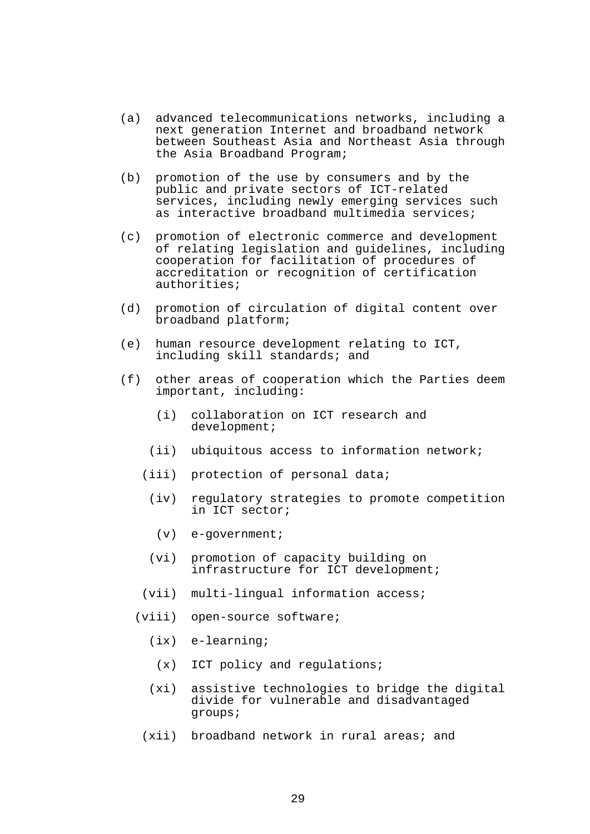- (a) advanced telecommunications networks, including a next generation Internet and broadband network between Southeast Asia and Northeast Asia through the Asia Broadband Program;
- (b) promotion of the use by consumers and by the public and private sectors of ICT-related services, including newly emerging services such as interactive broadband multimedia services;
- (c) promotion of electronic commerce and development of relating legislation and guidelines, including cooperation for facilitation of procedures of accreditation or recognition of certification authorities;
- (d) promotion of circulation of digital content over broadband platform;
- (e) human resource development relating to ICT, including skill standards; and
- (f) other areas of cooperation which the Parties deem important, including:
	- (i) collaboration on ICT research and development;
	- (ii) ubiquitous access to information network;
	- (iii) protection of personal data;
		- (iv) regulatory strategies to promote competition in ICT sector;
			- (v) e-government;
		- (vi) promotion of capacity building on infrastructure for ICT development;
	- (vii) multi-lingual information access;
	- (viii) open-source software;
		- (ix) e-learning;
		- (x) ICT policy and regulations;
		- (xi) assistive technologies to bridge the digital divide for vulnerable and disadvantaged groups;
		- (xii) broadband network in rural areas; and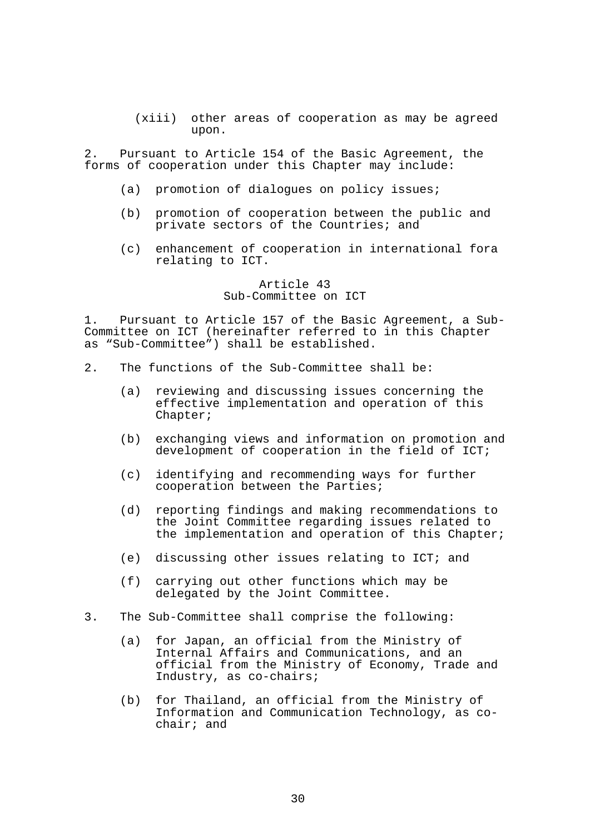(xiii) other areas of cooperation as may be agreed upon.

2. Pursuant to Article 154 of the Basic Agreement, the forms of cooperation under this Chapter may include:

- (a) promotion of dialogues on policy issues;
- (b) promotion of cooperation between the public and private sectors of the Countries; and
- (c) enhancement of cooperation in international fora relating to ICT.

Article 43 Sub-Committee on ICT

1. Pursuant to Article 157 of the Basic Agreement, a Sub-Committee on ICT (hereinafter referred to in this Chapter as "Sub-Committee") shall be established.

- 2. The functions of the Sub-Committee shall be:
	- (a) reviewing and discussing issues concerning the effective implementation and operation of this Chapter;
	- (b) exchanging views and information on promotion and development of cooperation in the field of ICT;
	- (c) identifying and recommending ways for further cooperation between the Parties;
	- (d) reporting findings and making recommendations to the Joint Committee regarding issues related to the implementation and operation of this Chapter;
	- (e) discussing other issues relating to ICT; and
	- (f) carrying out other functions which may be delegated by the Joint Committee.
- 3. The Sub-Committee shall comprise the following:
	- (a) for Japan, an official from the Ministry of Internal Affairs and Communications, and an official from the Ministry of Economy, Trade and Industry, as co-chairs;
	- (b) for Thailand, an official from the Ministry of Information and Communication Technology, as cochair; and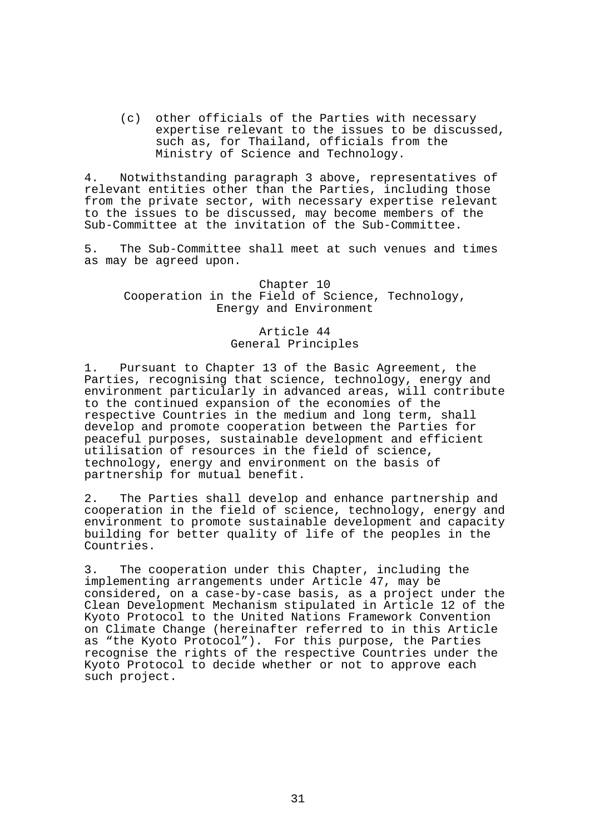(c) other officials of the Parties with necessary expertise relevant to the issues to be discussed, such as, for Thailand, officials from the Ministry of Science and Technology.

4. Notwithstanding paragraph 3 above, representatives of relevant entities other than the Parties, including those from the private sector, with necessary expertise relevant to the issues to be discussed, may become members of the Sub-Committee at the invitation of the Sub-Committee.

5. The Sub-Committee shall meet at such venues and times as may be agreed upon.

Chapter 10 Cooperation in the Field of Science, Technology, Energy and Environment

# Article 44 General Principles

1. Pursuant to Chapter 13 of the Basic Agreement, the Parties, recognising that science, technology, energy and environment particularly in advanced areas, will contribute to the continued expansion of the economies of the respective Countries in the medium and long term, shall develop and promote cooperation between the Parties for peaceful purposes, sustainable development and efficient utilisation of resources in the field of science, technology, energy and environment on the basis of partnership for mutual benefit.

2. The Parties shall develop and enhance partnership and cooperation in the field of science, technology, energy and environment to promote sustainable development and capacity building for better quality of life of the peoples in the Countries.

3. The cooperation under this Chapter, including the implementing arrangements under Article 47, may be considered, on a case-by-case basis, as a project under the Clean Development Mechanism stipulated in Article 12 of the Kyoto Protocol to the United Nations Framework Convention on Climate Change (hereinafter referred to in this Article as "the Kyoto Protocol"). For this purpose, the Parties recognise the rights of the respective Countries under the Kyoto Protocol to decide whether or not to approve each such project.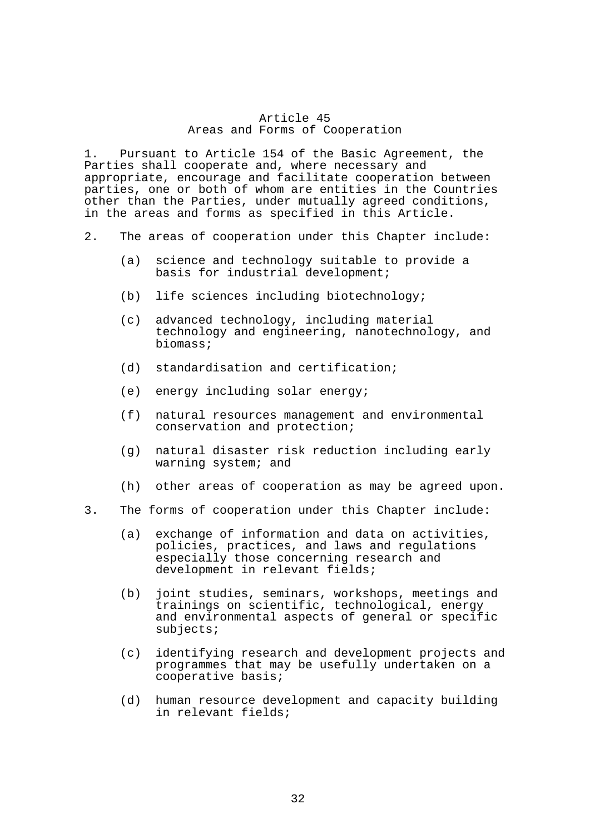## Article 45 Areas and Forms of Cooperation

1. Pursuant to Article 154 of the Basic Agreement, the Parties shall cooperate and, where necessary and appropriate, encourage and facilitate cooperation between parties, one or both of whom are entities in the Countries other than the Parties, under mutually agreed conditions, in the areas and forms as specified in this Article.

- 2. The areas of cooperation under this Chapter include:
	- (a) science and technology suitable to provide a basis for industrial development;
	- (b) life sciences including biotechnology;
	- (c) advanced technology, including material technology and engineering, nanotechnology, and biomass;
	- (d) standardisation and certification;
	- (e) energy including solar energy;
	- (f) natural resources management and environmental conservation and protection;
	- (g) natural disaster risk reduction including early warning system; and
	- (h) other areas of cooperation as may be agreed upon.
- 3. The forms of cooperation under this Chapter include:
	- (a) exchange of information and data on activities, policies, practices, and laws and regulations especially those concerning research and development in relevant fields;
	- (b) joint studies, seminars, workshops, meetings and trainings on scientific, technological, energy and environmental aspects of general or specific subjects;
	- (c) identifying research and development projects and programmes that may be usefully undertaken on a cooperative basis;
	- (d) human resource development and capacity building in relevant fields;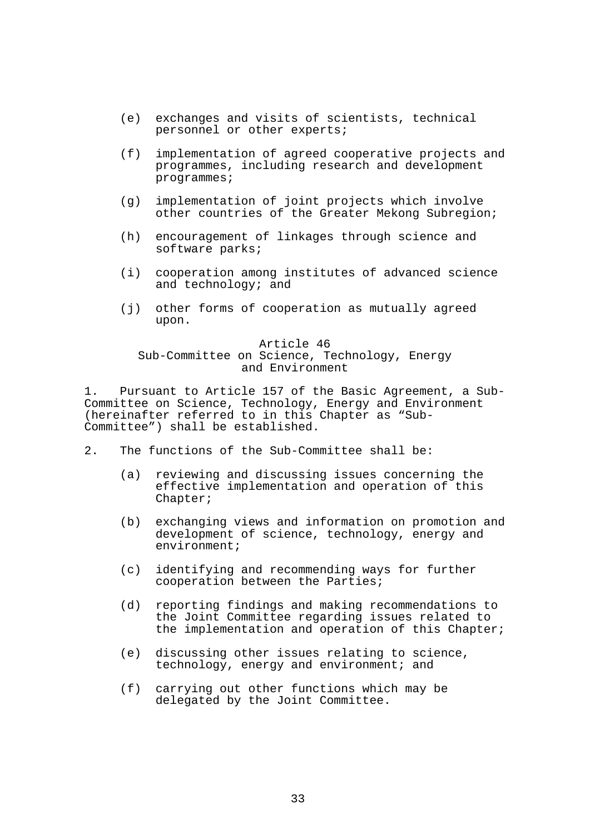- (e) exchanges and visits of scientists, technical personnel or other experts;
- (f) implementation of agreed cooperative projects and programmes, including research and development programmes;
- (g) implementation of joint projects which involve other countries of the Greater Mekong Subregion;
- (h) encouragement of linkages through science and software parks;
- (i) cooperation among institutes of advanced science and technology; and
- (j) other forms of cooperation as mutually agreed upon.

# Article 46

## Sub-Committee on Science, Technology, Energy and Environment

1. Pursuant to Article 157 of the Basic Agreement, a Sub-Committee on Science, Technology, Energy and Environment (hereinafter referred to in this Chapter as "Sub-Committee") shall be established.

- 2. The functions of the Sub-Committee shall be:
	- (a) reviewing and discussing issues concerning the effective implementation and operation of this Chapter;
	- (b) exchanging views and information on promotion and development of science, technology, energy and environment;
	- (c) identifying and recommending ways for further cooperation between the Parties;
	- (d) reporting findings and making recommendations to the Joint Committee regarding issues related to the implementation and operation of this Chapter;
	- (e) discussing other issues relating to science, technology, energy and environment; and
	- (f) carrying out other functions which may be delegated by the Joint Committee.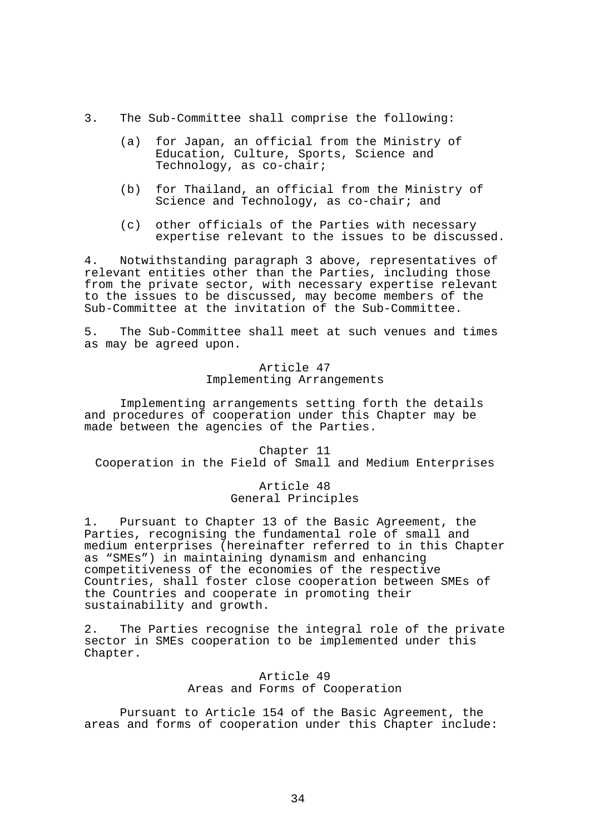- 3. The Sub-Committee shall comprise the following:
	- (a) for Japan, an official from the Ministry of Education, Culture, Sports, Science and Technology, as co-chair;
	- (b) for Thailand, an official from the Ministry of Science and Technology, as co-chair; and
	- (c) other officials of the Parties with necessary expertise relevant to the issues to be discussed.

4. Notwithstanding paragraph 3 above, representatives of relevant entities other than the Parties, including those from the private sector, with necessary expertise relevant to the issues to be discussed, may become members of the Sub-Committee at the invitation of the Sub-Committee.

5. The Sub-Committee shall meet at such venues and times as may be agreed upon.

# Article 47 Implementing Arrangements

 Implementing arrangements setting forth the details and procedures of cooperation under this Chapter may be made between the agencies of the Parties.

Chapter 11 Cooperation in the Field of Small and Medium Enterprises

### Article 48 General Principles

1. Pursuant to Chapter 13 of the Basic Agreement, the Parties, recognising the fundamental role of small and medium enterprises (hereinafter referred to in this Chapter as "SMEs") in maintaining dynamism and enhancing competitiveness of the economies of the respective Countries, shall foster close cooperation between SMEs of the Countries and cooperate in promoting their sustainability and growth.

2. The Parties recognise the integral role of the private sector in SMEs cooperation to be implemented under this Chapter.

# Article 49 Areas and Forms of Cooperation

 Pursuant to Article 154 of the Basic Agreement, the areas and forms of cooperation under this Chapter include: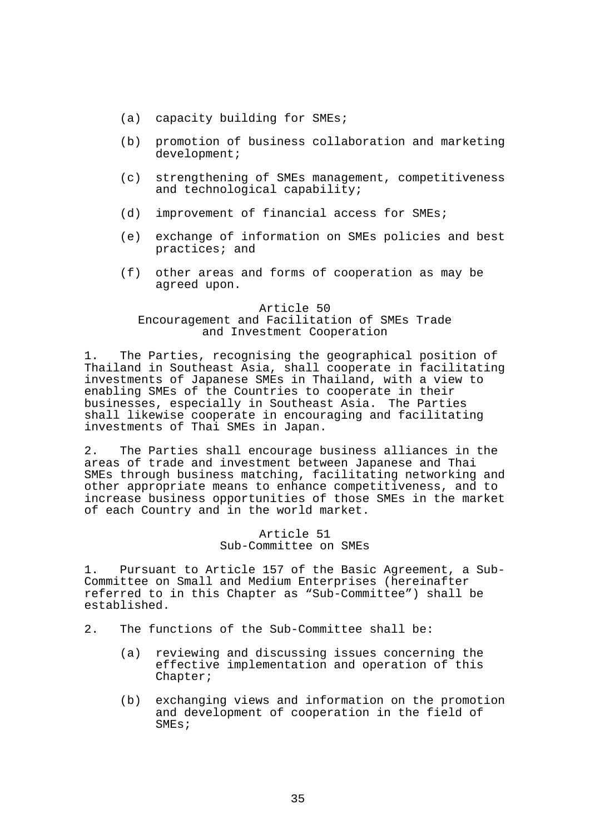- (a) capacity building for SMEs;
- (b) promotion of business collaboration and marketing development;
- (c) strengthening of SMEs management, competitiveness and technological capability;
- (d) improvement of financial access for SMEs;
- (e) exchange of information on SMEs policies and best practices; and
- (f) other areas and forms of cooperation as may be agreed upon.

#### Article 50

# Encouragement and Facilitation of SMEs Trade and Investment Cooperation

1. The Parties, recognising the geographical position of Thailand in Southeast Asia, shall cooperate in facilitating investments of Japanese SMEs in Thailand, with a view to enabling SMEs of the Countries to cooperate in their businesses, especially in Southeast Asia. The Parties shall likewise cooperate in encouraging and facilitating investments of Thai SMEs in Japan.

2. The Parties shall encourage business alliances in the areas of trade and investment between Japanese and Thai SMEs through business matching, facilitating networking and other appropriate means to enhance competitiveness, and to increase business opportunities of those SMEs in the market of each Country and in the world market.

#### Article 51 Sub-Committee on SMEs

1. Pursuant to Article 157 of the Basic Agreement, a Sub-Committee on Small and Medium Enterprises (hereinafter referred to in this Chapter as "Sub-Committee") shall be established.

- 2. The functions of the Sub-Committee shall be:
	- (a) reviewing and discussing issues concerning the effective implementation and operation of this Chapter;
	- (b) exchanging views and information on the promotion and development of cooperation in the field of SMEs;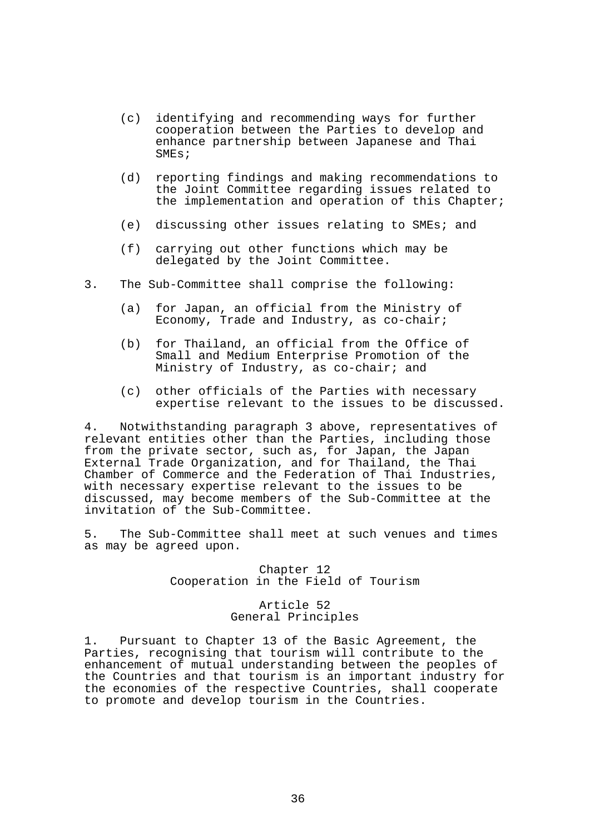- (c) identifying and recommending ways for further cooperation between the Parties to develop and enhance partnership between Japanese and Thai SMEs;
- (d) reporting findings and making recommendations to the Joint Committee regarding issues related to the implementation and operation of this Chapter;
- (e) discussing other issues relating to SMEs; and
- (f) carrying out other functions which may be delegated by the Joint Committee.
- 3. The Sub-Committee shall comprise the following:
	- (a) for Japan, an official from the Ministry of Economy, Trade and Industry, as co-chair;
	- (b) for Thailand, an official from the Office of Small and Medium Enterprise Promotion of the Ministry of Industry, as co-chair; and
	- (c) other officials of the Parties with necessary expertise relevant to the issues to be discussed.

4. Notwithstanding paragraph 3 above, representatives of relevant entities other than the Parties, including those from the private sector, such as, for Japan, the Japan External Trade Organization, and for Thailand, the Thai Chamber of Commerce and the Federation of Thai Industries, with necessary expertise relevant to the issues to be discussed, may become members of the Sub-Committee at the invitation of the Sub-Committee.

5. The Sub-Committee shall meet at such venues and times as may be agreed upon.

> Chapter 12 Cooperation in the Field of Tourism

### Article 52 General Principles

1. Pursuant to Chapter 13 of the Basic Agreement, the Parties, recognising that tourism will contribute to the enhancement of mutual understanding between the peoples of the Countries and that tourism is an important industry for the economies of the respective Countries, shall cooperate to promote and develop tourism in the Countries.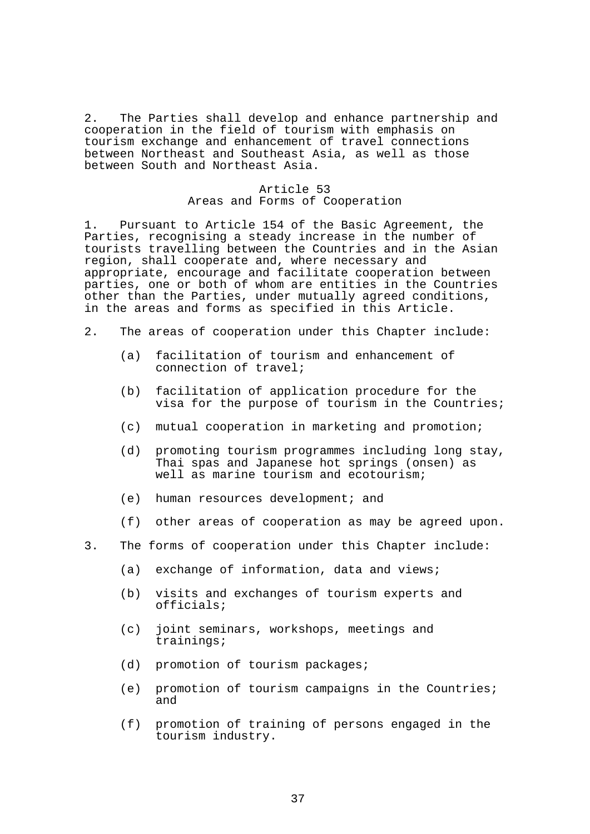2. The Parties shall develop and enhance partnership and cooperation in the field of tourism with emphasis on tourism exchange and enhancement of travel connections between Northeast and Southeast Asia, as well as those between South and Northeast Asia.

# Article 53 Areas and Forms of Cooperation

1. Pursuant to Article 154 of the Basic Agreement, the Parties, recognising a steady increase in the number of tourists travelling between the Countries and in the Asian region, shall cooperate and, where necessary and appropriate, encourage and facilitate cooperation between parties, one or both of whom are entities in the Countries other than the Parties, under mutually agreed conditions, in the areas and forms as specified in this Article.

- 2. The areas of cooperation under this Chapter include:
	- (a) facilitation of tourism and enhancement of connection of travel;
	- (b) facilitation of application procedure for the visa for the purpose of tourism in the Countries;
	- (c) mutual cooperation in marketing and promotion;
	- (d) promoting tourism programmes including long stay, Thai spas and Japanese hot springs (onsen) as well as marine tourism and ecotourism;
	- (e) human resources development; and
	- (f) other areas of cooperation as may be agreed upon.
- 3. The forms of cooperation under this Chapter include:
	- (a) exchange of information, data and views;
	- (b) visits and exchanges of tourism experts and officials;
	- (c) joint seminars, workshops, meetings and trainings;
	- (d) promotion of tourism packages;
	- (e) promotion of tourism campaigns in the Countries; and
	- (f) promotion of training of persons engaged in the tourism industry.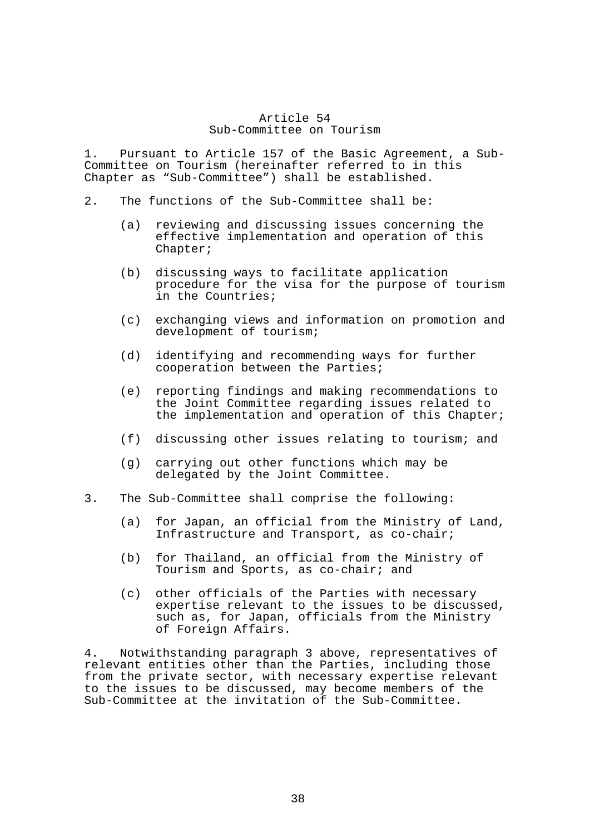## Article 54 Sub-Committee on Tourism

1. Pursuant to Article 157 of the Basic Agreement, a Sub-Committee on Tourism (hereinafter referred to in this Chapter as "Sub-Committee") shall be established.

- 2. The functions of the Sub-Committee shall be:
	- (a) reviewing and discussing issues concerning the effective implementation and operation of this Chapter;
	- (b) discussing ways to facilitate application procedure for the visa for the purpose of tourism in the Countries;
	- (c) exchanging views and information on promotion and development of tourism;
	- (d) identifying and recommending ways for further cooperation between the Parties;
	- (e) reporting findings and making recommendations to the Joint Committee regarding issues related to the implementation and operation of this Chapter;
	- (f) discussing other issues relating to tourism; and
	- (g) carrying out other functions which may be delegated by the Joint Committee.
- 3. The Sub-Committee shall comprise the following:
	- (a) for Japan, an official from the Ministry of Land, Infrastructure and Transport, as co-chair;
	- (b) for Thailand, an official from the Ministry of Tourism and Sports, as co-chair; and
	- (c) other officials of the Parties with necessary expertise relevant to the issues to be discussed, such as, for Japan, officials from the Ministry of Foreign Affairs.

4. Notwithstanding paragraph 3 above, representatives of relevant entities other than the Parties, including those from the private sector, with necessary expertise relevant to the issues to be discussed, may become members of the Sub-Committee at the invitation of the Sub-Committee.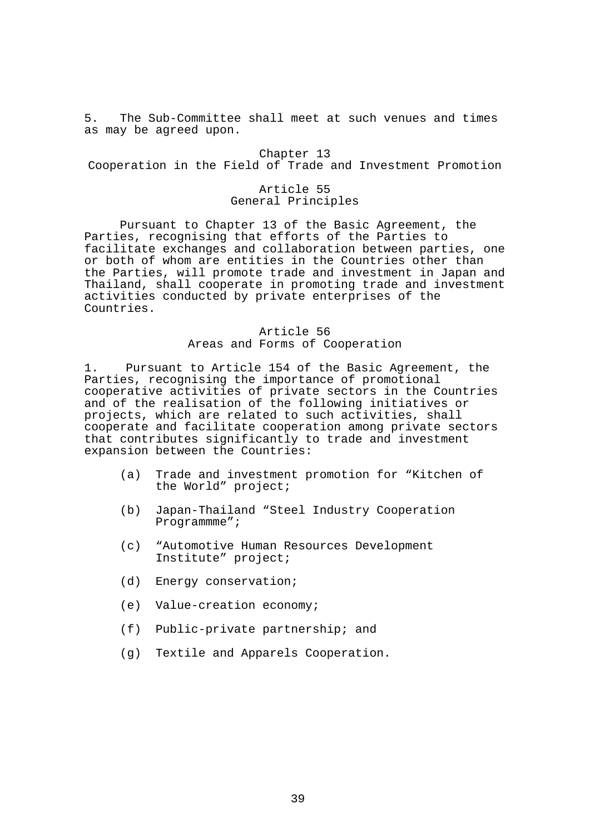5. The Sub-Committee shall meet at such venues and times as may be agreed upon.

Chapter 13 Cooperation in the Field of Trade and Investment Promotion

# Article 55 General Principles

 Pursuant to Chapter 13 of the Basic Agreement, the Parties, recognising that efforts of the Parties to facilitate exchanges and collaboration between parties, one or both of whom are entities in the Countries other than the Parties, will promote trade and investment in Japan and Thailand, shall cooperate in promoting trade and investment activities conducted by private enterprises of the Countries.

# Article 56 Areas and Forms of Cooperation

1. Pursuant to Article 154 of the Basic Agreement, the Parties, recognising the importance of promotional cooperative activities of private sectors in the Countries and of the realisation of the following initiatives or projects, which are related to such activities, shall cooperate and facilitate cooperation among private sectors that contributes significantly to trade and investment expansion between the Countries:

- (a) Trade and investment promotion for "Kitchen of the World" project;
- (b) Japan-Thailand "Steel Industry Cooperation Programmme";
- (c) "Automotive Human Resources Development Institute" project;
- (d) Energy conservation;
- (e) Value-creation economy;
- (f) Public-private partnership; and
- (g) Textile and Apparels Cooperation.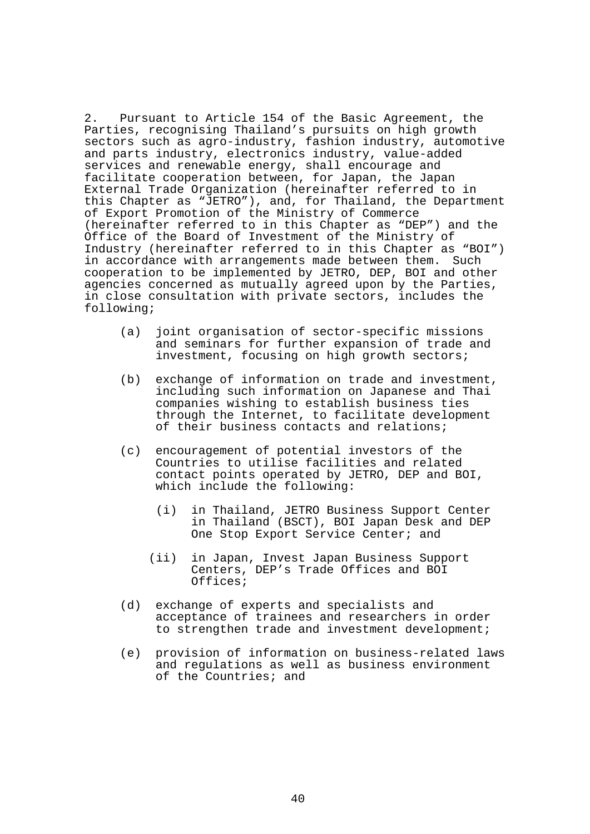2. Pursuant to Article 154 of the Basic Agreement, the Parties, recognising Thailand's pursuits on high growth sectors such as agro-industry, fashion industry, automotive and parts industry, electronics industry, value-added services and renewable energy, shall encourage and facilitate cooperation between, for Japan, the Japan External Trade Organization (hereinafter referred to in this Chapter as "JETRO"), and, for Thailand, the Department of Export Promotion of the Ministry of Commerce (hereinafter referred to in this Chapter as "DEP") and the Office of the Board of Investment of the Ministry of Industry (hereinafter referred to in this Chapter as "BOI") in accordance with arrangements made between them. Such cooperation to be implemented by JETRO, DEP, BOI and other agencies concerned as mutually agreed upon by the Parties, in close consultation with private sectors, includes the following;

- (a) joint organisation of sector-specific missions and seminars for further expansion of trade and investment, focusing on high growth sectors;
- (b) exchange of information on trade and investment, including such information on Japanese and Thai companies wishing to establish business ties through the Internet, to facilitate development of their business contacts and relations;
- (c) encouragement of potential investors of the Countries to utilise facilities and related contact points operated by JETRO, DEP and BOI, which include the following:
	- (i) in Thailand, JETRO Business Support Center in Thailand (BSCT), BOI Japan Desk and DEP One Stop Export Service Center; and
	- (ii) in Japan, Invest Japan Business Support Centers, DEP's Trade Offices and BOI Offices;
- (d) exchange of experts and specialists and acceptance of trainees and researchers in order to strengthen trade and investment development;
- (e) provision of information on business-related laws and regulations as well as business environment of the Countries; and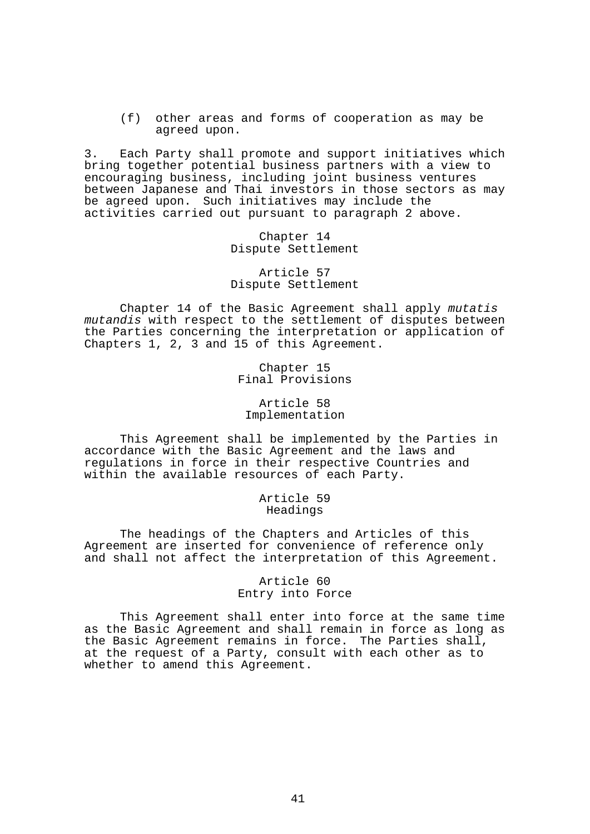(f) other areas and forms of cooperation as may be agreed upon.

3. Each Party shall promote and support initiatives which bring together potential business partners with a view to encouraging business, including joint business ventures between Japanese and Thai investors in those sectors as may be agreed upon. Such initiatives may include the activities carried out pursuant to paragraph 2 above.

> Chapter 14 Dispute Settlement

> Article 57 Dispute Settlement

 Chapter 14 of the Basic Agreement shall apply *mutatis mutandis* with respect to the settlement of disputes between the Parties concerning the interpretation or application of Chapters 1, 2, 3 and 15 of this Agreement.

> Chapter 15 Final Provisions

Article 58 Implementation

 This Agreement shall be implemented by the Parties in accordance with the Basic Agreement and the laws and regulations in force in their respective Countries and within the available resources of each Party.

> Article 59 Headings

 The headings of the Chapters and Articles of this Agreement are inserted for convenience of reference only and shall not affect the interpretation of this Agreement.

> Article 60 Entry into Force

 This Agreement shall enter into force at the same time as the Basic Agreement and shall remain in force as long as the Basic Agreement remains in force. The Parties shall, at the request of a Party, consult with each other as to whether to amend this Agreement.